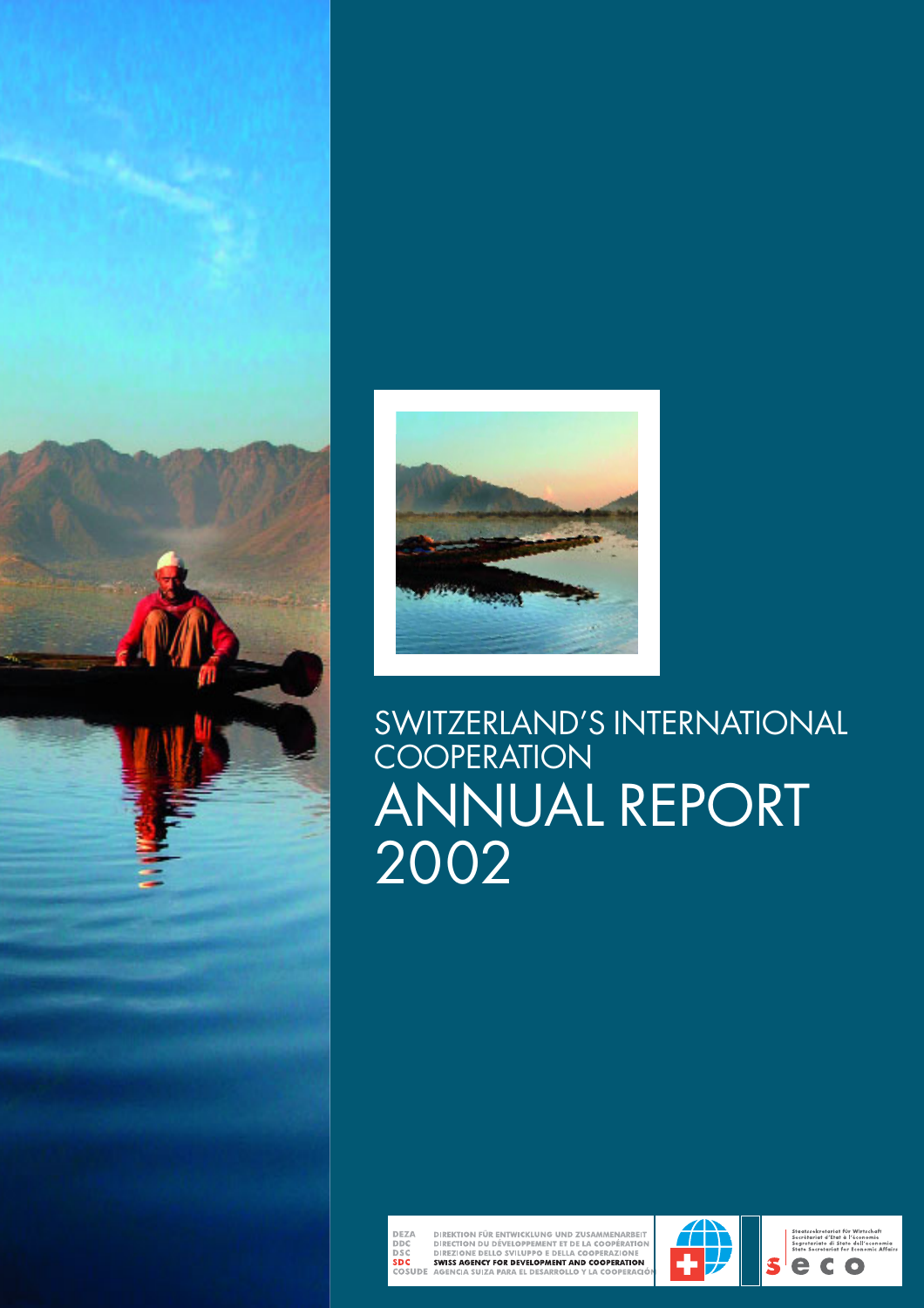



# SWITZERLAND'S INTERNATIONAL COOPERATION ANNUAL REPORT 2002



DIREKTION FÜR ENTWICKLUNG UND ZUSAMMENARBEIT<br>DIRECTION DU DÉVELOPPEMENT ET DE LA COOPÉRATION<br>DIREZIONE DELLO SVILUPPO E DELLA COOPERAZIONE<br>SWISS AGENCY FOR DEVELOPMENT AND COOPERATION<br>AGENCIA SUIZA PARA EL DESARROLLO Y LA

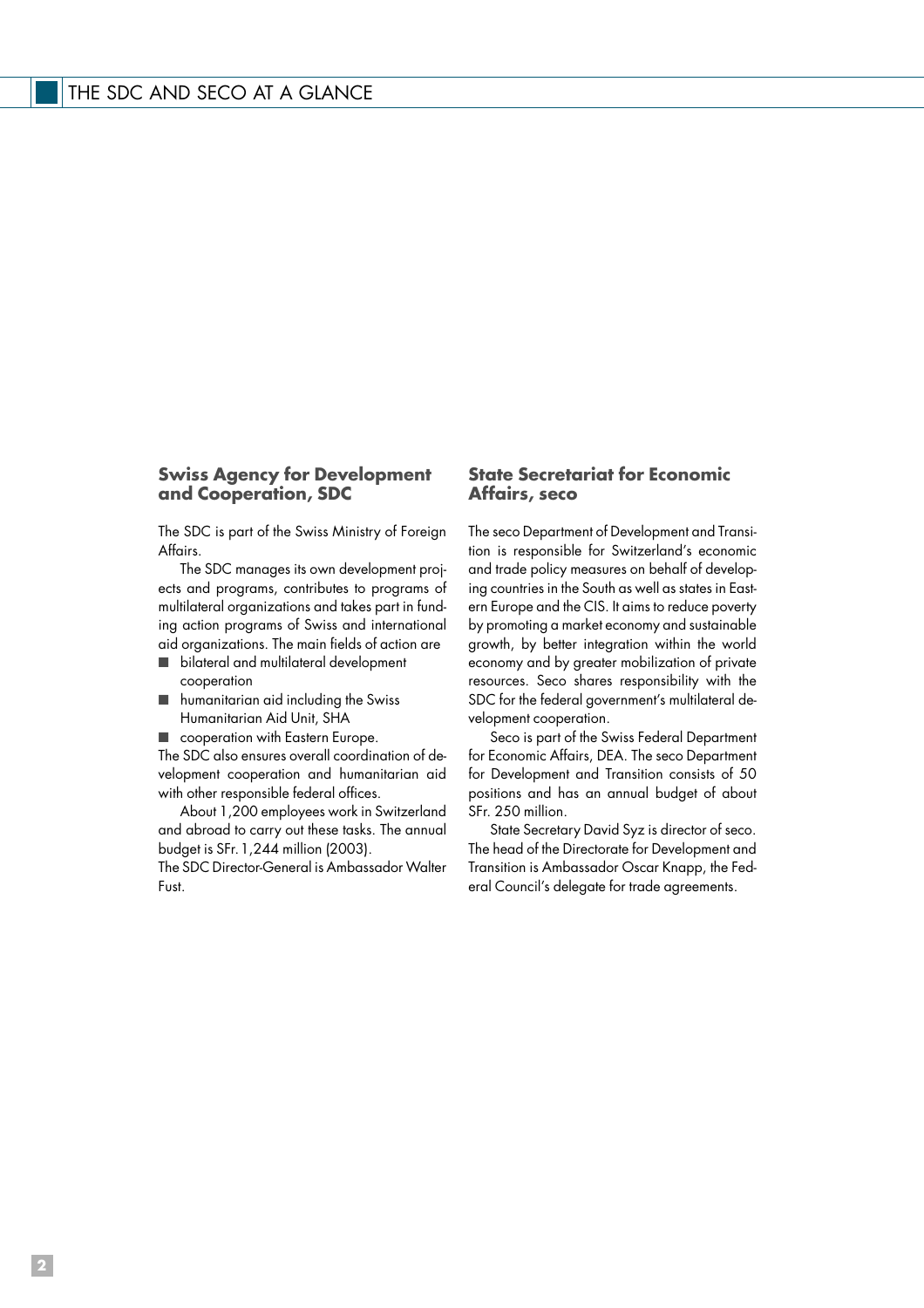#### **Swiss Agency for Development and Cooperation, SDC**

The SDC is part of the Swiss Ministry of Foreign Affairs.

The SDC manages its own development projects and programs, contributes to programs of multilateral organizations and takes part in funding action programs of Swiss and international aid organizations. The main fields of action are

- bilateral and multilateral development cooperation
- humanitarian aid including the Swiss Humanitarian Aid Unit, SHA
- cooperation with Eastern Europe.

The SDC also ensures overall coordination of development cooperation and humanitarian aid with other responsible federal offices.

About 1,200 employees work in Switzerland and abroad to carry out these tasks. The annual budget is SFr.1,244 million (2003).

The SDC Director-General is Ambassador Walter Fust.

#### **State Secretariat for Economic Affairs, seco**

The seco Department of Development and Transition is responsible for Switzerland's economic and trade policy measures on behalf of developing countries in the South as well as states in Eastern Europe and the CIS. It aims to reduce poverty by promoting a market economy and sustainable growth, by better integration within the world economy and by greater mobilization of private resources. Seco shares responsibility with the SDC for the federal government's multilateral development cooperation.

Seco is part of the Swiss Federal Department for Economic Affairs, DEA. The seco Department for Development and Transition consists of 50 positions and has an annual budget of about SFr. 250 million.

State Secretary David Syz is director of seco. The head of the Directorate for Development and Transition is Ambassador Oscar Knapp, the Federal Council's delegate for trade agreements.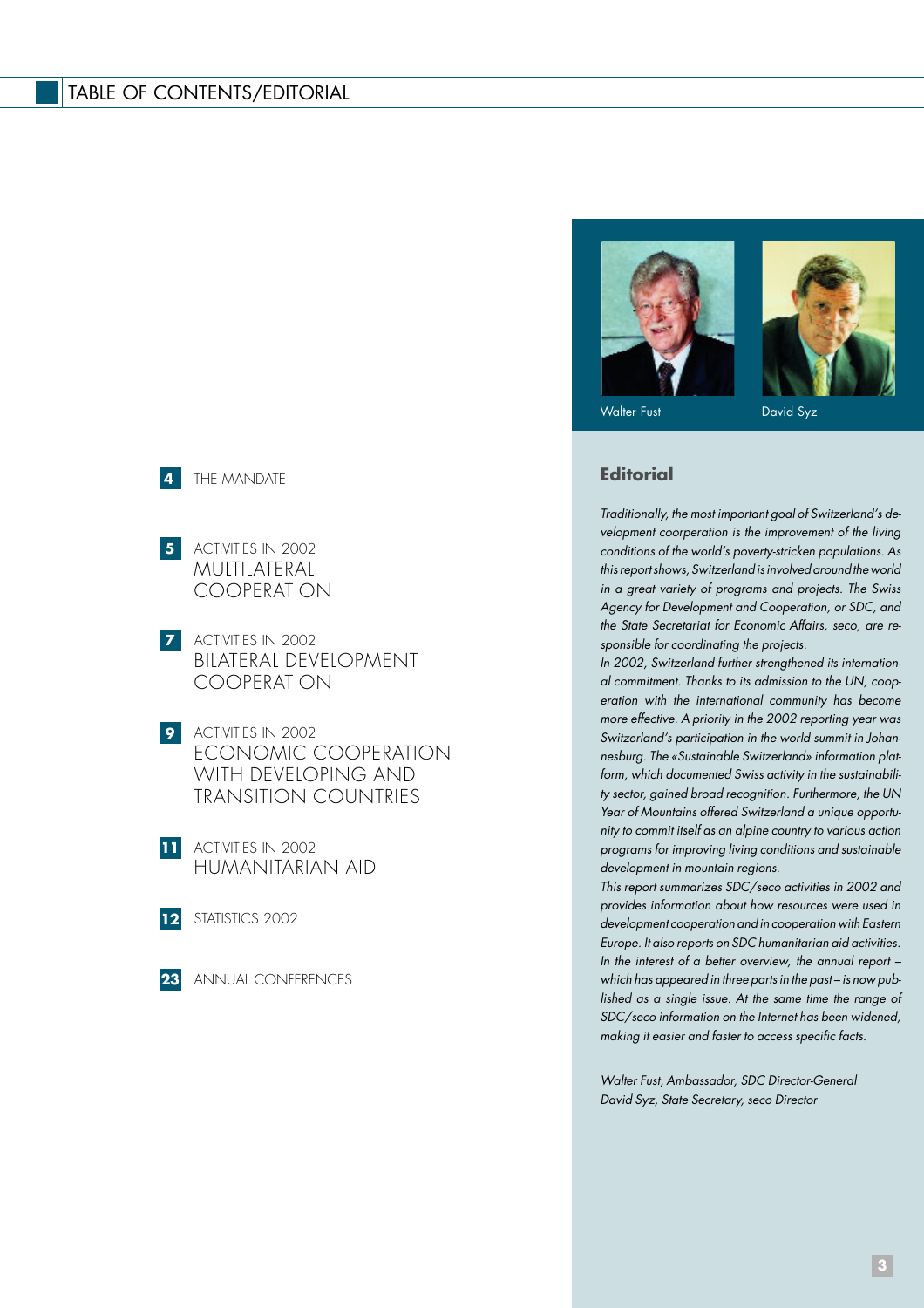

- ACTIVITIES IN 2002 **5** MULTILATERAL **COOPERATION**
- ACTIVITIES IN 2002 **7** BILATERAL DEVELOPMENT COOPERATION
- ACTIVITIES IN 2002 **9** ECONOMIC COOPERATION WITH DEVELOPING AND TRANSITION COUNTRIES
- **11** ACTIVITIES IN 2002 HUMANITARIAN AID
- **12** STATISTICS 2002



**23** ANNUAL CONFERENCES



Walter Fust **David Syz** 

# **Editorial**

*Traditionally, the most important goal of Switzerland's development coorperation is the improvement of the living conditions of the world's poverty-stricken populations. As this report shows, Switzerland is involved around the world in a great variety of programs and projects. The Swiss Agency for Development and Cooperation, or SDC, and the State Secretariat for Economic Affairs, seco, are responsible for coordinating the projects.*

*In 2002, Switzerland further strengthened its international commitment. Thanks to its admission to the UN, cooperation with the international community has become more effective. A priority in the 2002 reporting year was Switzerland's participation in the world summit in Johannesburg. The «Sustainable Switzerland» information platform, which documented Swiss activity in the sustainability sector, gained broad recognition. Furthermore, the UN Year of Mountains offered Switzerland a unique opportunity to commit itself as an alpine country to various action programs for improving living conditions and sustainable development in mountain regions.* 

*This report summarizes SDC/seco activities in 2002 and provides information about how resources were used in development cooperation and in cooperation with Eastern Europe. It also reports on SDC humanitarian aid activities. In the interest of a better overview, the annual report – which has appeared in three parts in the past – is now published as a single issue. At the same time the range of SDC/seco information on the Internet has been widened, making it easier and faster to access specific facts.* 

*Walter Fust, Ambassador, SDC Director-General David Syz, State Secretary, seco Director*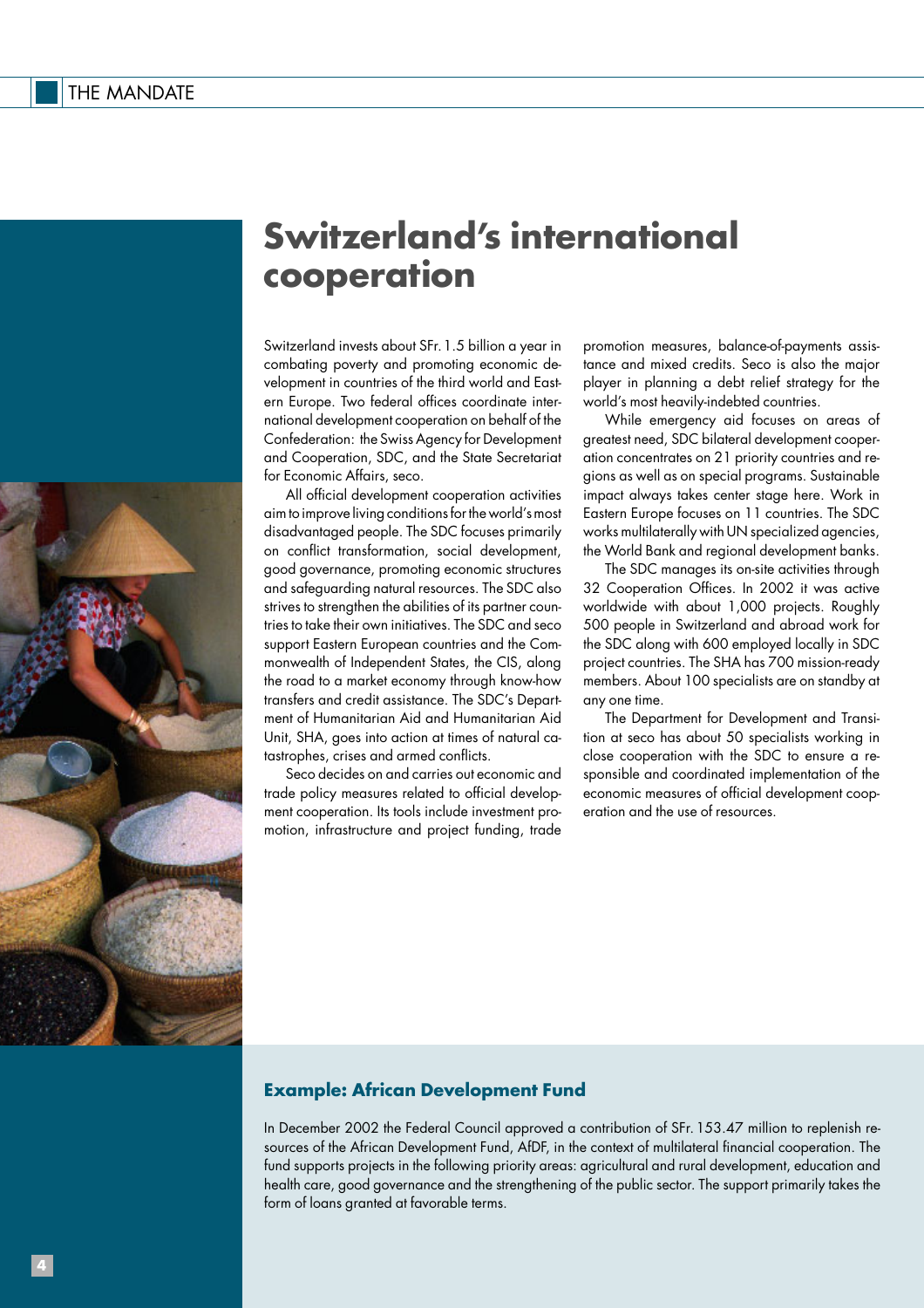

# **Switzerland's international cooperation**

Switzerland invests about SFr.1.5 billion a year in combating poverty and promoting economic development in countries of the third world and Eastern Europe. Two federal offices coordinate international development cooperation on behalf of the Confederation: the Swiss Agency for Development and Cooperation, SDC, and the State Secretariat for Economic Affairs, seco.

All official development cooperation activities aim to improve living conditions for the world's most disadvantaged people. The SDC focuses primarily on conflict transformation, social development, good governance, promoting economic structures and safeguarding natural resources. The SDC also strives to strengthen the abilities of its partner countries to take their own initiatives. The SDC and seco support Eastern European countries and the Commonwealth of Independent States, the CIS, along the road to a market economy through know-how transfers and credit assistance. The SDC's Department of Humanitarian Aid and Humanitarian Aid Unit, SHA, goes into action at times of natural catastrophes, crises and armed conflicts.

Seco decides on and carries out economic and trade policy measures related to official development cooperation. Its tools include investment promotion, infrastructure and project funding, trade promotion measures, balance-of-payments assistance and mixed credits. Seco is also the major player in planning a debt relief strategy for the world's most heavily-indebted countries.

While emergency aid focuses on areas of greatest need, SDC bilateral development cooperation concentrates on 21 priority countries and regions as well as on special programs. Sustainable impact always takes center stage here. Work in Eastern Europe focuses on 11 countries. The SDC works multilaterally with UN specialized agencies, the World Bank and regional development banks.

The SDC manages its on-site activities through 32 Cooperation Offices. In 2002 it was active worldwide with about 1,000 projects. Roughly 500 people in Switzerland and abroad work for the SDC along with 600 employed locally in SDC project countries. The SHA has 700 mission-ready members. About 100 specialists are on standby at any one time.

The Department for Development and Transition at seco has about 50 specialists working in close cooperation with the SDC to ensure a responsible and coordinated implementation of the economic measures of official development cooperation and the use of resources.

#### **Example: African Development Fund**

In December 2002 the Federal Council approved a contribution of SFr.153.47 million to replenish resources of the African Development Fund, AfDF, in the context of multilateral financial cooperation. The fund supports projects in the following priority areas: agricultural and rural development, education and health care, good governance and the strengthening of the public sector. The support primarily takes the form of loans granted at favorable terms.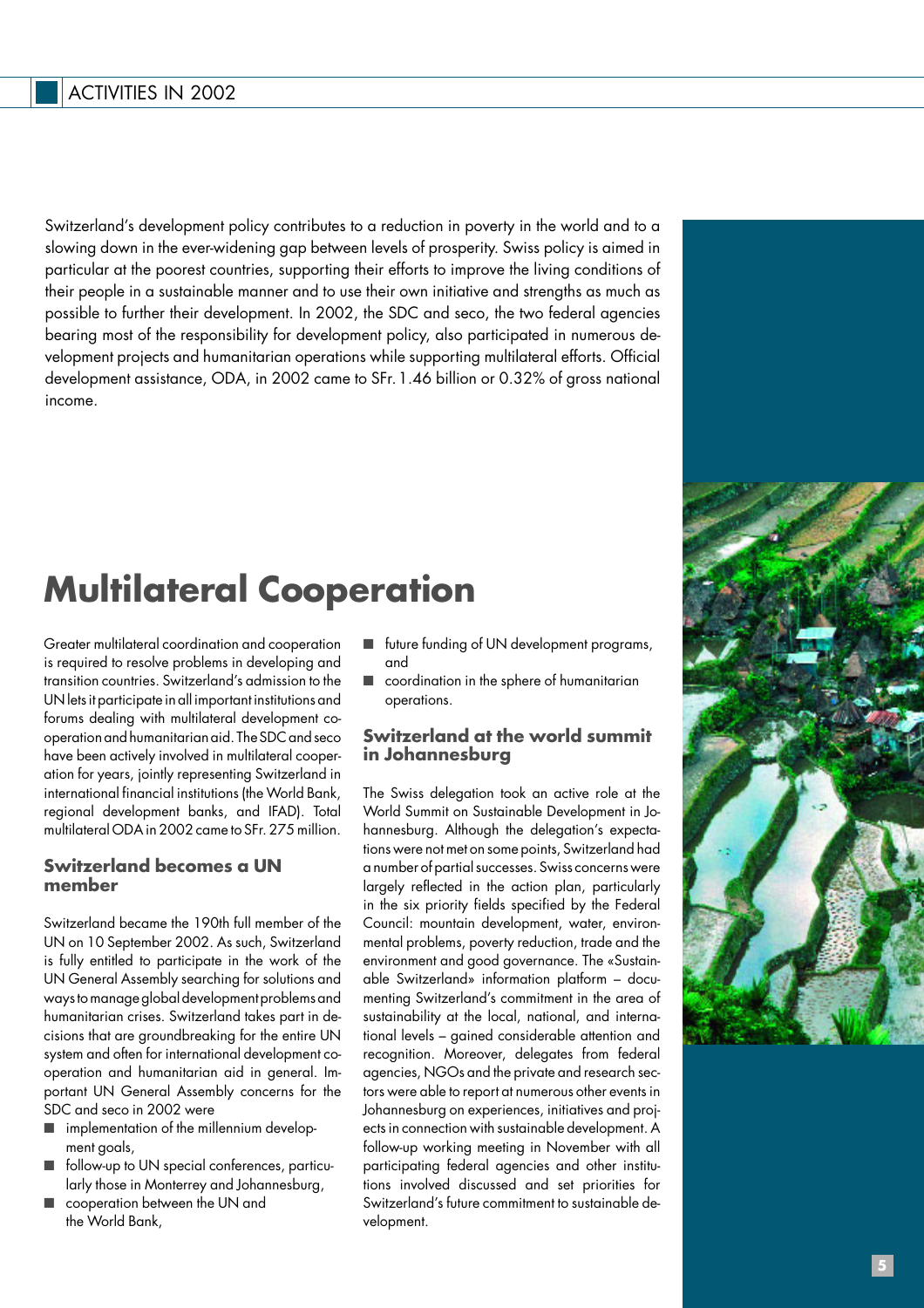Switzerland's development policy contributes to a reduction in poverty in the world and to a slowing down in the ever-widening gap between levels of prosperity. Swiss policy is aimed in particular at the poorest countries, supporting their efforts to improve the living conditions of their people in a sustainable manner and to use their own initiative and strengths as much as possible to further their development. In 2002, the SDC and seco, the two federal agencies bearing most of the responsibility for development policy, also participated in numerous development projects and humanitarian operations while supporting multilateral efforts. Official development assistance, ODA, in 2002 came to SFr.1.46 billion or 0.32% of gross national income.

# **Multilateral Cooperation**

Greater multilateral coordination and cooperation is required to resolve problems in developing and transition countries. Switzerland's admission to the UN lets it participate in all important institutions and forums dealing with multilateral development cooperation and humanitarian aid. The SDC and seco have been actively involved in multilateral cooperation for years, jointly representing Switzerland in international financial institutions (the World Bank, regional development banks, and IFAD). Total multilateral ODA in 2002 came to SFr. 275 million.

### **Switzerland becomes a UN member**

Switzerland became the 190th full member of the UN on 10 September 2002. As such, Switzerland is fully entitled to participate in the work of the UN General Assembly searching for solutions and ways to manage global development problems and humanitarian crises. Switzerland takes part in decisions that are groundbreaking for the entire UN system and often for international development cooperation and humanitarian aid in general. Important UN General Assembly concerns for the SDC and seco in 2002 were

- implementation of the millennium development goals,
- follow-up to UN special conferences, particularly those in Monterrey and Johannesburg,
- cooperation between the UN and the World Bank,
- future funding of UN development programs, and
- coordination in the sphere of humanitarian operations.

### **Switzerland at the world summit in Johannesburg**

The Swiss delegation took an active role at the World Summit on Sustainable Development in Johannesburg. Although the delegation's expectations were not met on some points, Switzerland had a number of partial successes. Swiss concerns were largely reflected in the action plan, particularly in the six priority fields specified by the Federal Council: mountain development, water, environmental problems, poverty reduction, trade and the environment and good governance. The «Sustainable Switzerland» information platform – documenting Switzerland's commitment in the area of sustainability at the local, national, and international levels – gained considerable attention and recognition. Moreover, delegates from federal agencies, NGOs and the private and research sectors were able to report at numerous other events in Johannesburg on experiences, initiatives and projects in connection with sustainable development. A follow-up working meeting in November with all participating federal agencies and other institutions involved discussed and set priorities for Switzerland's future commitment to sustainable development.

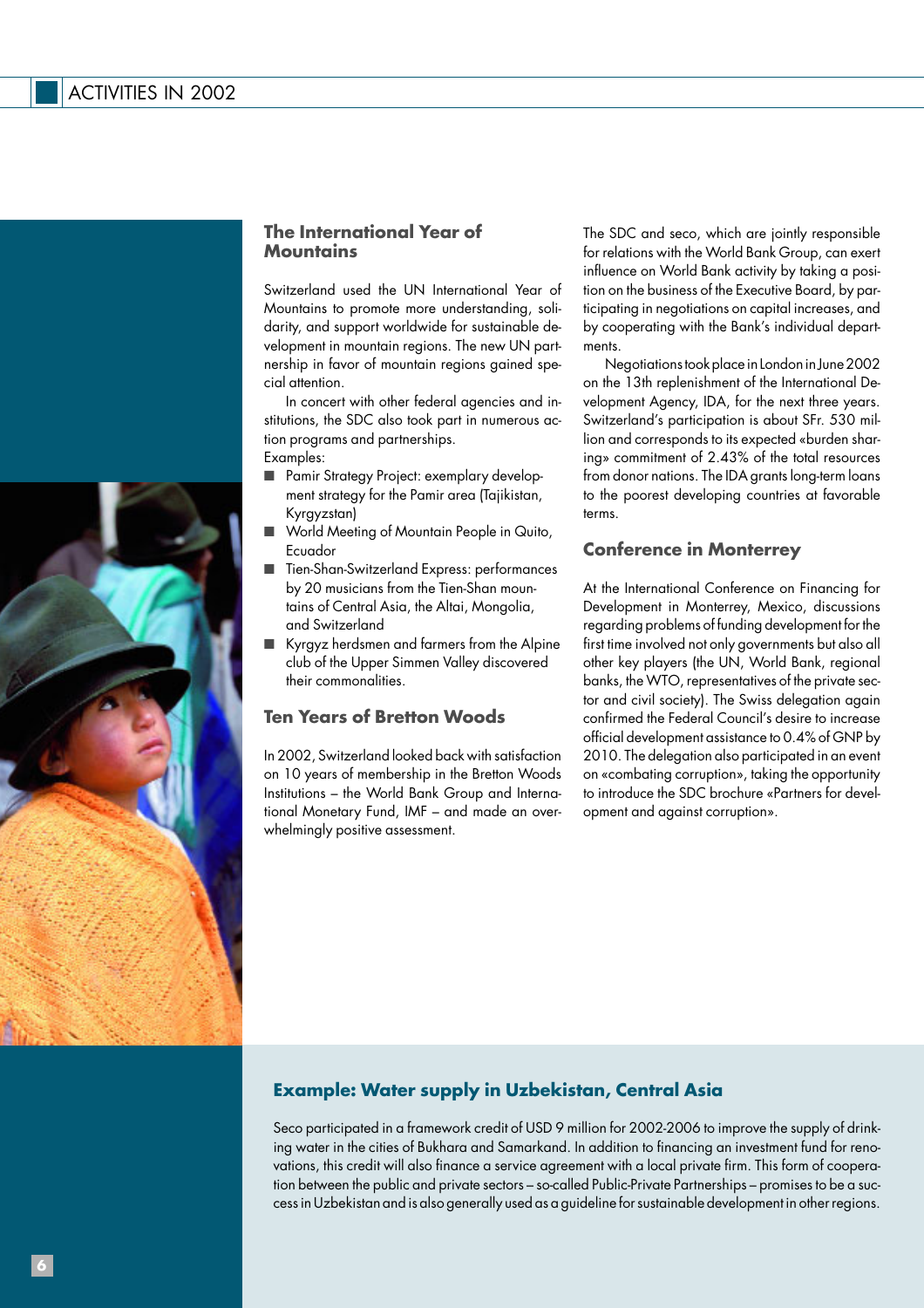

#### **The International Year of Mountains**

Switzerland used the UN International Year of Mountains to promote more understanding, solidarity, and support worldwide for sustainable development in mountain regions. The new UN partnership in favor of mountain regions gained special attention.

In concert with other federal agencies and institutions, the SDC also took part in numerous action programs and partnerships. Examples:

- Pamir Strategy Project: exemplary development strategy for the Pamir area (Tajikistan, Kyrgyzstan)
- World Meeting of Mountain People in Quito, Ecuador
- Tien-Shan-Switzerland Express: performances by 20 musicians from the Tien-Shan mountains of Central Asia, the Altai, Mongolia, and Switzerland
- Kyrgyz herdsmen and farmers from the Alpine club of the Upper Simmen Valley discovered their commonalities.

# **Ten Years of Bretton Woods**

In 2002, Switzerland looked back with satisfaction on 10 years of membership in the Bretton Woods Institutions – the World Bank Group and International Monetary Fund, IMF – and made an overwhelmingly positive assessment.

The SDC and seco, which are jointly responsible for relations with the World Bank Group, can exert influence on World Bank activity by taking a position on the business of the Executive Board, by participating in negotiations on capital increases, and by cooperating with the Bank's individual departments.

Negotiations took place in London in June 2002 on the 13th replenishment of the International Development Agency, IDA, for the next three years. Switzerland's participation is about SFr. 530 million and corresponds to its expected «burden sharing» commitment of 2.43% of the total resources from donor nations. The IDA grants long-term loans to the poorest developing countries at favorable terms.

# **Conference in Monterrey**

At the International Conference on Financing for Development in Monterrey, Mexico, discussions regarding problems of funding development for the first time involved not only governments but also all other key players (the UN, World Bank, regional banks, the WTO, representatives of the private sector and civil society). The Swiss delegation again confirmed the Federal Council's desire to increase official development assistance to 0.4% of GNP by 2010. The delegation also participated in an event on «combating corruption», taking the opportunity to introduce the SDC brochure «Partners for development and against corruption».

# **Example: Water supply in Uzbekistan, Central Asia**

Seco participated in a framework credit of USD 9 million for 2002-2006 to improve the supply of drinking water in the cities of Bukhara and Samarkand. In addition to financing an investment fund for renovations, this credit will also finance a service agreement with a local private firm. This form of cooperation between the public and private sectors – so-called Public-Private Partnerships – promises to be a success in Uzbekistan and is also generally used as a guideline for sustainable development in other regions.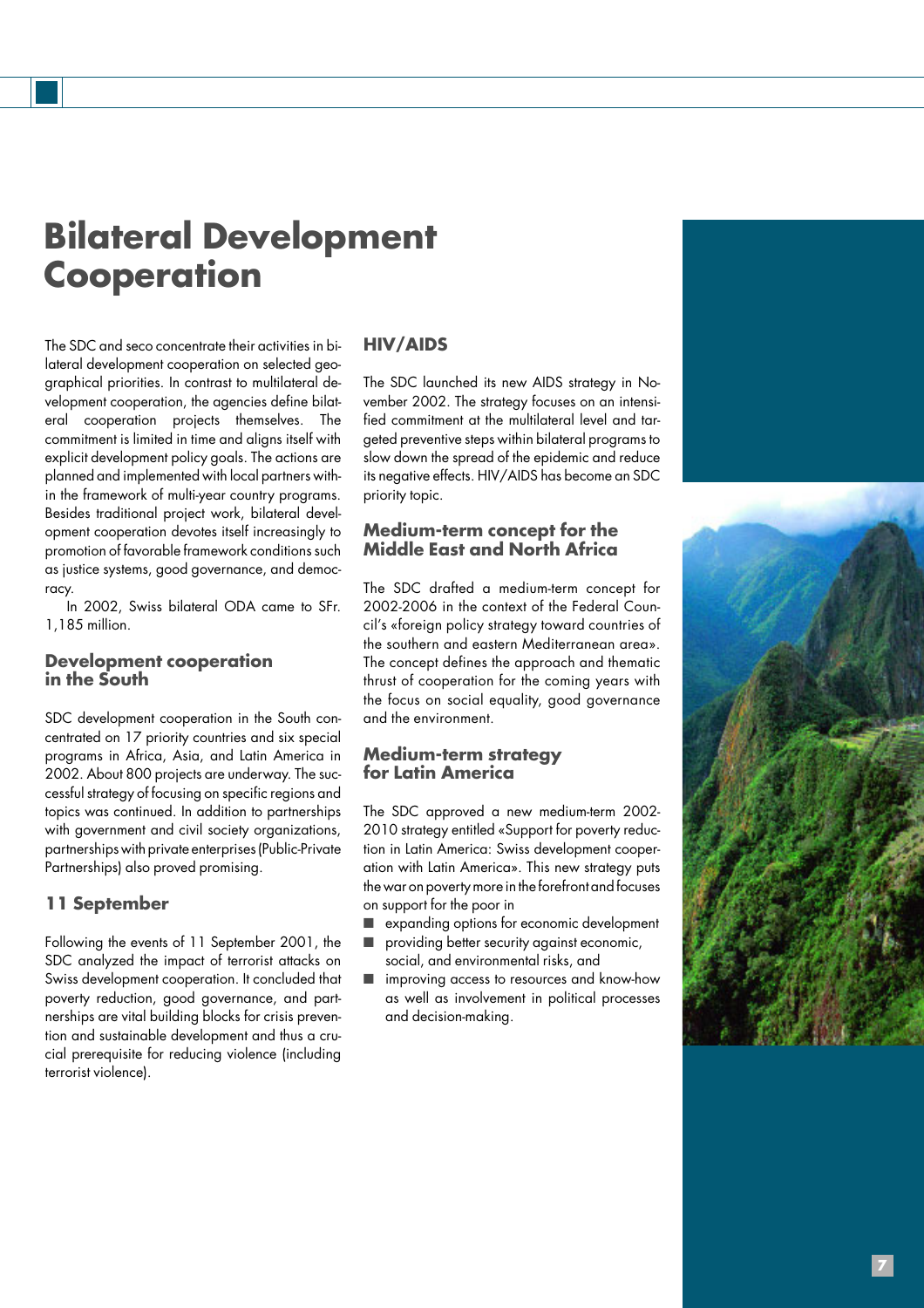# **Bilateral Development Cooperation**

The SDC and seco concentrate their activities in bilateral development cooperation on selected geographical priorities. In contrast to multilateral development cooperation, the agencies define bilateral cooperation projects themselves. The commitment is limited in time and aligns itself with explicit development policy goals. The actions are planned and implemented with local partners within the framework of multi-year country programs. Besides traditional project work, bilateral development cooperation devotes itself increasingly to promotion of favorable framework conditions such as justice systems, good governance, and democracy.

In 2002, Swiss bilateral ODA came to SFr. 1,185 million.

### **Development cooperation in the South**

SDC development cooperation in the South concentrated on 17 priority countries and six special programs in Africa, Asia, and Latin America in 2002. About 800 projects are underway. The successful strategy of focusing on specific regions and topics was continued. In addition to partnerships with government and civil society organizations, partnerships with private enterprises (Public-Private Partnerships) also proved promising.

#### **11 September**

Following the events of 11 September 2001, the SDC analyzed the impact of terrorist attacks on Swiss development cooperation. It concluded that poverty reduction, good governance, and partnerships are vital building blocks for crisis prevention and sustainable development and thus a crucial prerequisite for reducing violence (including terrorist violence).

### **HIV/AIDS**

The SDC launched its new AIDS strategy in November 2002. The strategy focuses on an intensified commitment at the multilateral level and targeted preventive steps within bilateral programs to slow down the spread of the epidemic and reduce its negative effects. HIV/AIDS has become an SDC priority topic.

#### **Medium-term concept for the Middle East and North Africa**

The SDC drafted a medium-term concept for 2002-2006 in the context of the Federal Council's «foreign policy strategy toward countries of the southern and eastern Mediterranean area». The concept defines the approach and thematic thrust of cooperation for the coming years with the focus on social equality, good governance and the environment.

### **Medium-term strategy for Latin America**

The SDC approved a new medium-term 2002- 2010 strategy entitled «Support for poverty reduction in Latin America: Swiss development cooperation with Latin America». This new strategy puts the war on poverty more in the forefront and focuses on support for the poor in

- expanding options for economic development
- providing better security against economic, social, and environmental risks, and
- improving access to resources and know-how as well as involvement in political processes and decision-making.

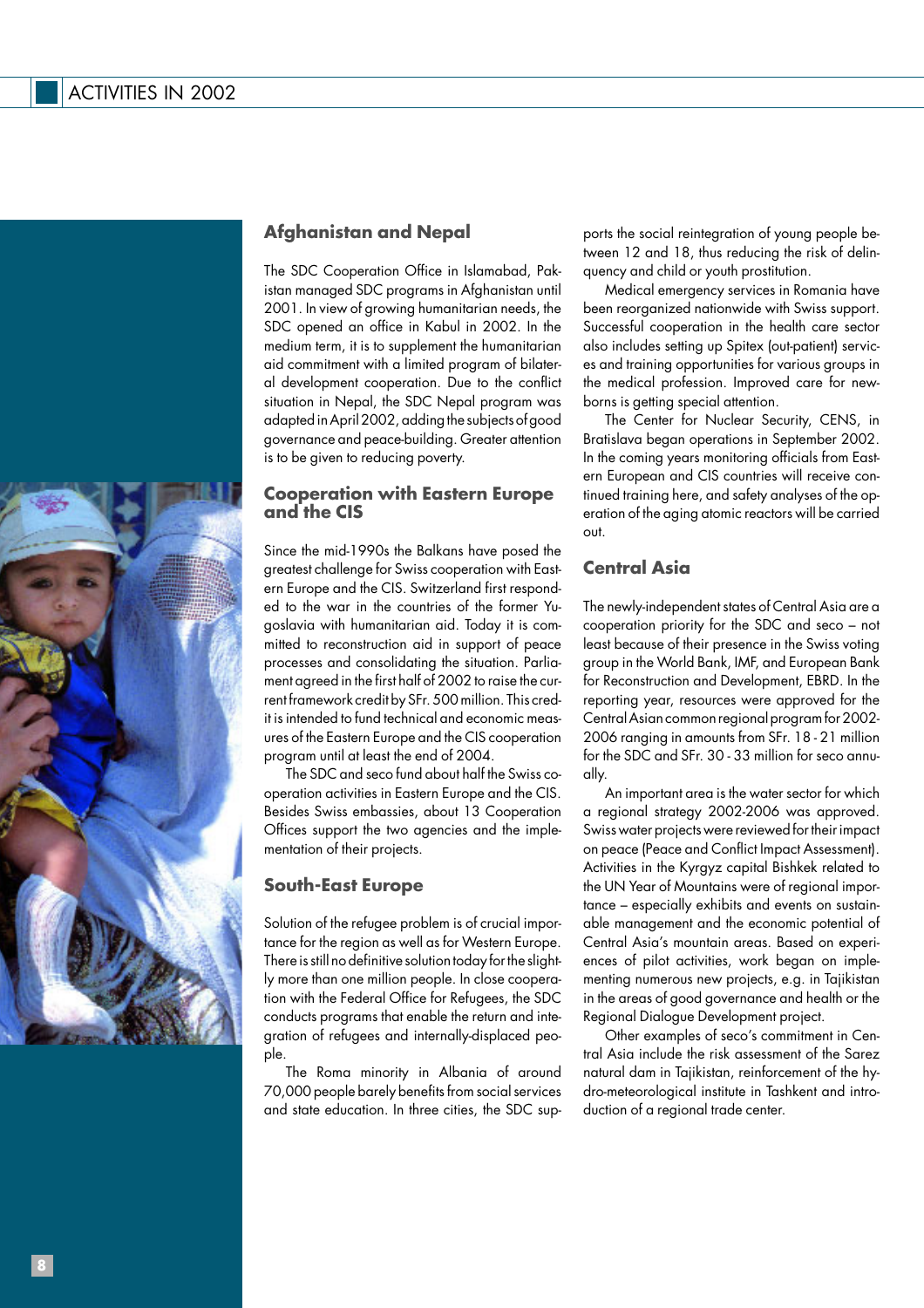

### **Afghanistan and Nepal**

The SDC Cooperation Office in Islamabad, Pakistan managed SDC programs in Afghanistan until 2001. In view of growing humanitarian needs, the SDC opened an office in Kabul in 2002. In the medium term, it is to supplement the humanitarian aid commitment with a limited program of bilateral development cooperation. Due to the conflict situation in Nepal, the SDC Nepal program was adapted in April 2002, adding the subjects of good governance and peace-building. Greater attention is to be given to reducing poverty.

#### **Cooperation with Eastern Europe and the CIS**

Since the mid-1990s the Balkans have posed the greatest challenge for Swiss cooperation with Eastern Europe and the CIS. Switzerland first responded to the war in the countries of the former Yugoslavia with humanitarian aid. Today it is committed to reconstruction aid in support of peace processes and consolidating the situation. Parliament agreed in the first half of 2002 to raise the current framework credit by SFr. 500 million. This credit is intended to fund technical and economic measures of the Eastern Europe and the CIS cooperation program until at least the end of 2004.

The SDC and seco fund about half the Swiss cooperation activities in Eastern Europe and the CIS. Besides Swiss embassies, about 13 Cooperation Offices support the two agencies and the implementation of their projects.

#### **South-East Europe**

Solution of the refugee problem is of crucial importance for the region as well as for Western Europe. There is still no definitive solution today for the slightly more than one million people. In close cooperation with the Federal Office for Refugees, the SDC conducts programs that enable the return and integration of refugees and internally-displaced people.

The Roma minority in Albania of around 70,000 people barely benefits from social services and state education. In three cities, the SDC supports the social reintegration of young people between 12 and 18, thus reducing the risk of delinquency and child or youth prostitution.

Medical emergency services in Romania have been reorganized nationwide with Swiss support. Successful cooperation in the health care sector also includes setting up Spitex (out-patient) services and training opportunities for various groups in the medical profession. Improved care for newborns is getting special attention.

The Center for Nuclear Security, CENS, in Bratislava began operations in September 2002. In the coming years monitoring officials from Eastern European and CIS countries will receive continued training here, and safety analyses of the operation of the aging atomic reactors will be carried out.

#### **Central Asia**

The newly-independent states of Central Asia are a cooperation priority for the SDC and seco – not least because of their presence in the Swiss voting group in the World Bank, IMF, and European Bank for Reconstruction and Development, EBRD. In the reporting year, resources were approved for the Central Asian common regional program for 2002- 2006 ranging in amounts from SFr. 18 - 21 million for the SDC and SFr. 30 - 33 million for seco annually.

An important area is the water sector for which a regional strategy 2002-2006 was approved. Swiss water projects were reviewed for their impact on peace (Peace and Conflict Impact Assessment). Activities in the Kyrgyz capital Bishkek related to the UN Year of Mountains were of regional importance – especially exhibits and events on sustainable management and the economic potential of Central Asia's mountain areas. Based on experiences of pilot activities, work began on implementing numerous new projects, e.g. in Tajikistan in the areas of good governance and health or the Regional Dialogue Development project.

Other examples of seco's commitment in Central Asia include the risk assessment of the Sarez natural dam in Tajikistan, reinforcement of the hydro-meteorological institute in Tashkent and introduction of a regional trade center.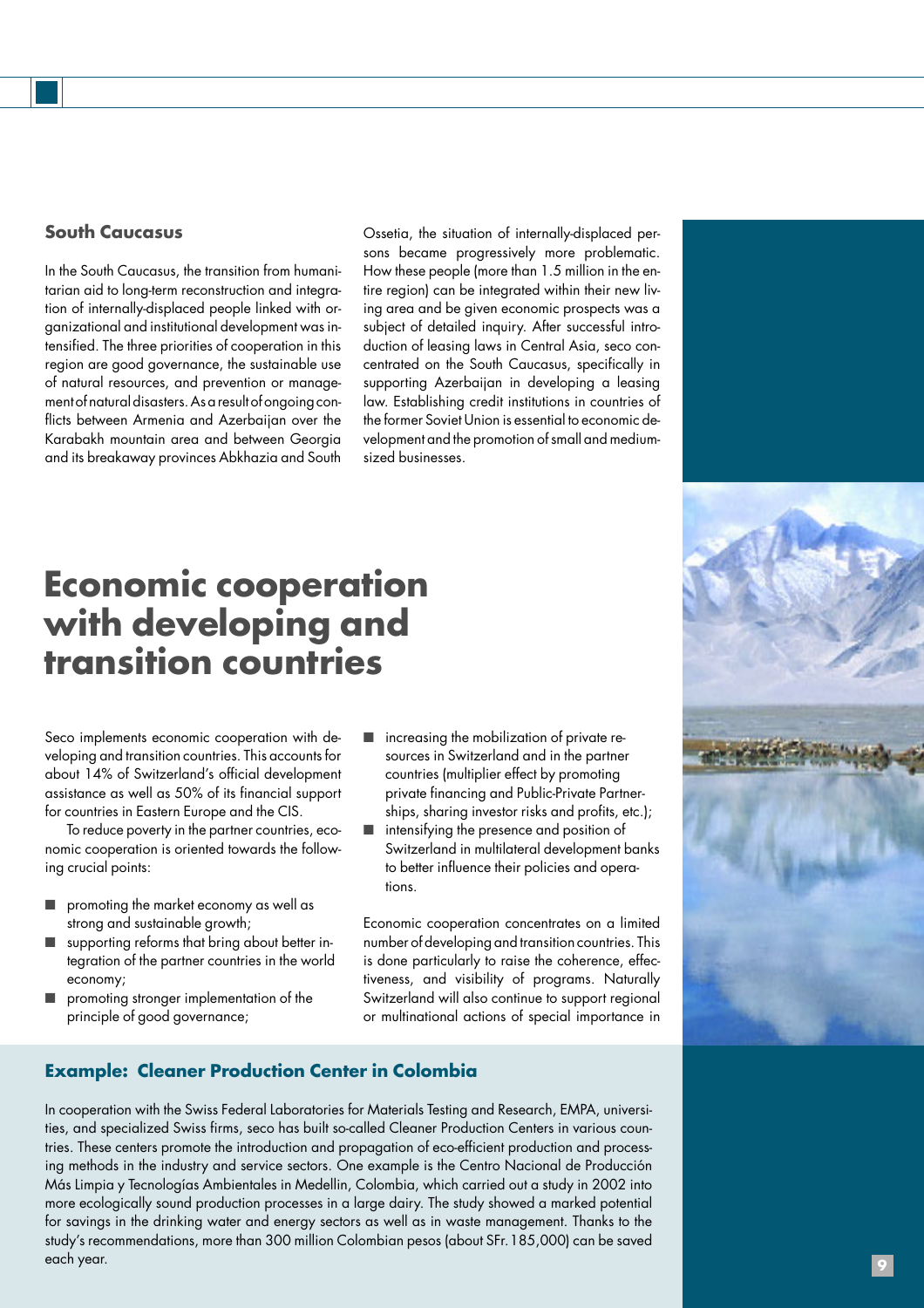# **South Caucasus**

In the South Caucasus, the transition from humanitarian aid to long-term reconstruction and integration of internally-displaced people linked with organizational and institutional development was intensified. The three priorities of cooperation in this region are good governance, the sustainable use of natural resources, and prevention or management of natural disasters. As a result of ongoing conflicts between Armenia and Azerbaijan over the Karabakh mountain area and between Georgia and its breakaway provinces Abkhazia and South Ossetia, the situation of internally-displaced persons became progressively more problematic. How these people (more than 1.5 million in the entire region) can be integrated within their new living area and be given economic prospects was a subject of detailed inquiry. After successful introduction of leasing laws in Central Asia, seco concentrated on the South Caucasus, specifically in supporting Azerbaijan in developing a leasing law. Establishing credit institutions in countries of the former Soviet Union is essential to economic development and the promotion of small and mediumsized businesses.

# **Economic cooperation with developing and transition countries**

Seco implements economic cooperation with developing and transition countries. This accounts for about 14% of Switzerland's official development assistance as well as 50% of its financial support for countries in Eastern Europe and the CIS.

To reduce poverty in the partner countries, economic cooperation is oriented towards the following crucial points:

- promoting the market economy as well as strong and sustainable growth;
- supporting reforms that bring about better integration of the partner countries in the world economy;
- promoting stronger implementation of the principle of good governance;
- increasing the mobilization of private resources in Switzerland and in the partner countries (multiplier effect by promoting private financing and Public-Private Partnerships, sharing investor risks and profits, etc.);
- intensifying the presence and position of Switzerland in multilateral development banks to better influence their policies and operations.

Economic cooperation concentrates on a limited number of developing and transition countries. This is done particularly to raise the coherence, effectiveness, and visibility of programs. Naturally Switzerland will also continue to support regional or multinational actions of special importance in



## **Example: Cleaner Production Center in Colombia**

In cooperation with the Swiss Federal Laboratories for Materials Testing and Research, EMPA, universities, and specialized Swiss firms, seco has built so-called Cleaner Production Centers in various countries. These centers promote the introduction and propagation of eco-efficient production and processing methods in the industry and service sectors. One example is the Centro Nacional de Producción Más Limpia y Tecnologías Ambientales in Medellin, Colombia, which carried out a study in 2002 into more ecologically sound production processes in a large dairy. The study showed a marked potential for savings in the drinking water and energy sectors as well as in waste management. Thanks to the study's recommendations, more than 300 million Colombian pesos (about SFr.185,000) can be saved each year.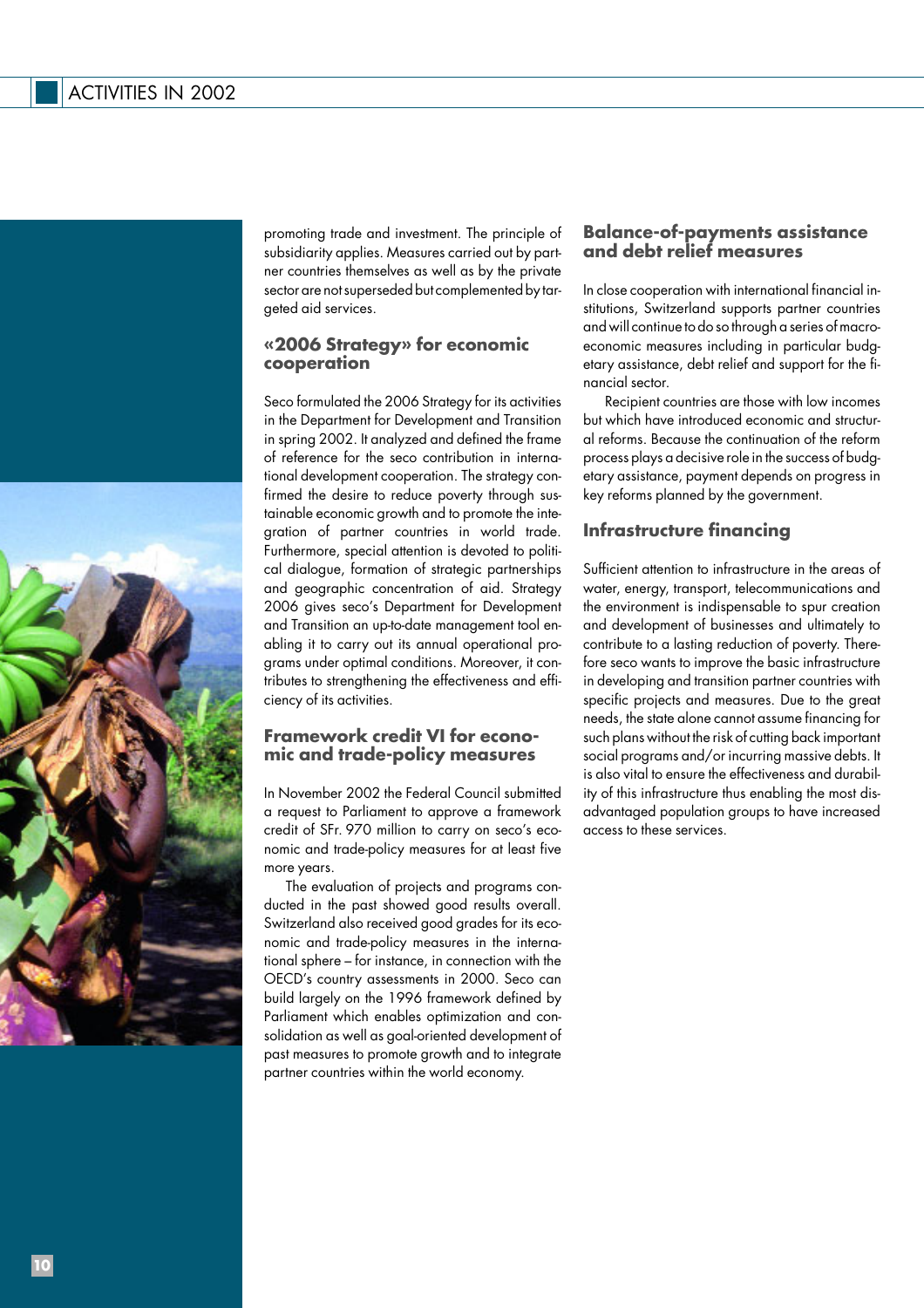

promoting trade and investment. The principle of subsidiarity applies. Measures carried out by partner countries themselves as well as by the private sector are not superseded but complemented by targeted aid services.

#### **«2006 Strategy» for economic cooperation**

Seco formulated the 2006 Strategy for its activities in the Department for Development and Transition in spring 2002. It analyzed and defined the frame of reference for the seco contribution in international development cooperation. The strategy confirmed the desire to reduce poverty through sustainable economic growth and to promote the integration of partner countries in world trade. Furthermore, special attention is devoted to political dialogue, formation of strategic partnerships and geographic concentration of aid. Strategy 2006 gives seco's Department for Development and Transition an up-to-date management tool enabling it to carry out its annual operational programs under optimal conditions. Moreover, it contributes to strengthening the effectiveness and efficiency of its activities.

### **Framework credit VI for economic and trade-policy measures**

In November 2002 the Federal Council submitted a request to Parliament to approve a framework credit of SFr. 970 million to carry on seco's economic and trade-policy measures for at least five more years.

The evaluation of projects and programs conducted in the past showed good results overall. Switzerland also received good grades for its economic and trade-policy measures in the international sphere – for instance, in connection with the OECD's country assessments in 2000. Seco can build largely on the 1996 framework defined by Parliament which enables optimization and consolidation as well as goal-oriented development of past measures to promote growth and to integrate partner countries within the world economy.

#### **Balance-of-payments assistance and debt relief measures**

In close cooperation with international financial institutions, Switzerland supports partner countries and will continue to do so through a series of macroeconomic measures including in particular budgetary assistance, debt relief and support for the financial sector.

Recipient countries are those with low incomes but which have introduced economic and structural reforms. Because the continuation of the reform process plays a decisive role in the success of budgetary assistance, payment depends on progress in key reforms planned by the government.

### **Infrastructure financing**

Sufficient attention to infrastructure in the areas of water, energy, transport, telecommunications and the environment is indispensable to spur creation and development of businesses and ultimately to contribute to a lasting reduction of poverty. Therefore seco wants to improve the basic infrastructure in developing and transition partner countries with specific projects and measures. Due to the great needs, the state alone cannot assume financing for such plans without the risk of cutting back important social programs and/or incurring massive debts. It is also vital to ensure the effectiveness and durability of this infrastructure thus enabling the most disadvantaged population groups to have increased access to these services.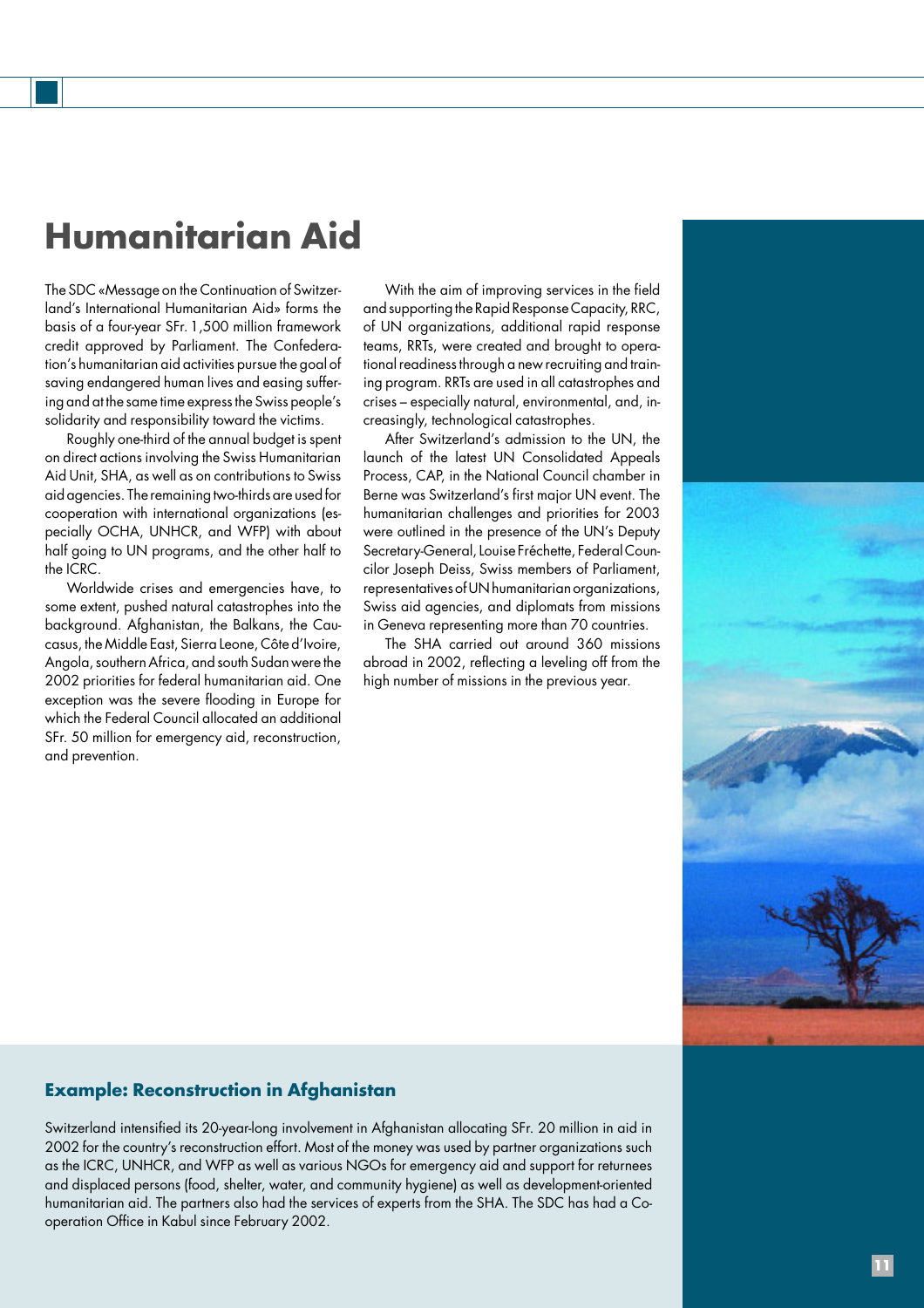# **Humanitarian Aid**

The SDC «Message on the Continuation of Switzerland's International Humanitarian Aid» forms the basis of a four-year SFr.1,500 million framework credit approved by Parliament. The Confederation's humanitarian aid activities pursue the goal of saving endangered human lives and easing suffering and at the same time express the Swiss people's solidarity and responsibility toward the victims.

Roughly one-third of the annual budget is spent on direct actions involving the Swiss Humanitarian Aid Unit, SHA, as well as on contributions to Swiss aid agencies. The remaining two-thirds are used for cooperation with international organizations (especially OCHA, UNHCR, and WFP) with about half going to UN programs, and the other half to the ICRC.

Worldwide crises and emergencies have, to some extent, pushed natural catastrophes into the background. Afghanistan, the Balkans, the Caucasus, the Middle East, Sierra Leone, Côte d'Ivoire, Angola, southern Africa, and south Sudan were the 2002 priorities for federal humanitarian aid. One exception was the severe flooding in Europe for which the Federal Council allocated an additional SFr. 50 million for emergency aid, reconstruction, and prevention.

With the aim of improving services in the field and supporting the Rapid Response Capacity, RRC, of UN organizations, additional rapid response teams, RRTs, were created and brought to operational readiness through a new recruiting and training program. RRTs are used in all catastrophes and crises – especially natural, environmental, and, increasingly, technological catastrophes.

After Switzerland's admission to the UN, the launch of the latest UN Consolidated Appeals Process, CAP, in the National Council chamber in Berne was Switzerland's first major UN event. The humanitarian challenges and priorities for 2003 were outlined in the presence of the UN's Deputy Secretary-General, Louise Fréchette, Federal Councilor Joseph Deiss, Swiss members of Parliament, representatives of UN humanitarian organizations, Swiss aid agencies, and diplomats from missions in Geneva representing more than 70 countries.

The SHA carried out around 360 missions abroad in 2002, reflecting a leveling off from the high number of missions in the previous year.



### **Example: Reconstruction in Afghanistan**

Switzerland intensified its 20-year-long involvement in Afghanistan allocating SFr. 20 million in aid in 2002 for the country's reconstruction effort. Most of the money was used by partner organizations such as the ICRC, UNHCR, and WFP as well as various NGOs for emergency aid and support for returnees and displaced persons (food, shelter, water, and community hygiene) as well as development-oriented humanitarian aid. The partners also had the services of experts from the SHA. The SDC has had a Cooperation Office in Kabul since February 2002.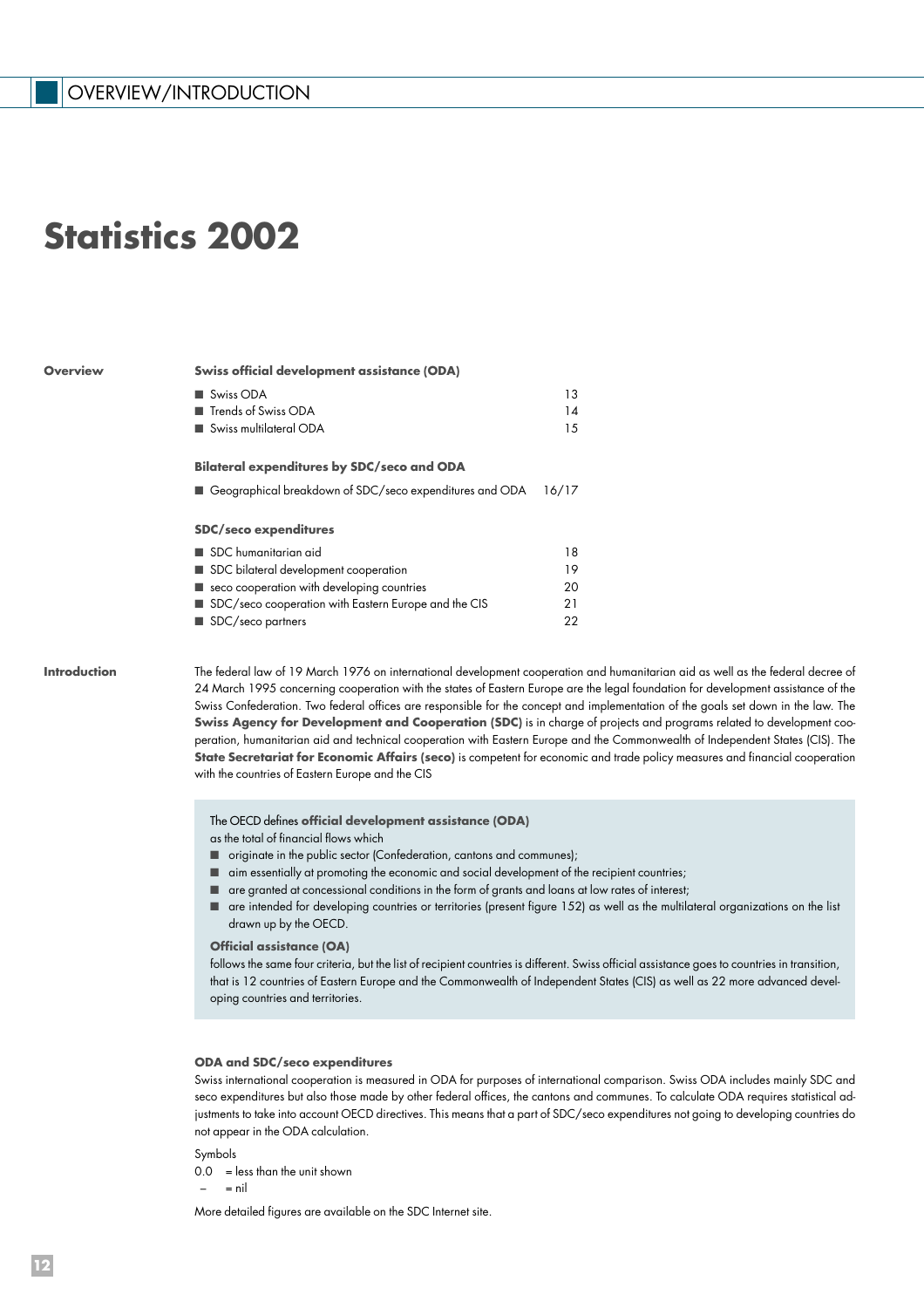# **Statistics 2002**

#### **Overview**

#### **Swiss official development assistance (ODA)**

| ■ Swiss ODA            | 13 |
|------------------------|----|
| ■ Trends of Swiss ODA  | 14 |
| Swiss multilateral ODA | 15 |
|                        |    |

#### **Bilateral expenditures by SDC/seco and ODA**

■ Geographical breakdown of SDC/seco expenditures and ODA 16/17

#### **SDC/seco expenditures**

| $\blacksquare$ SDC humanitarian aid                                 | 18 |
|---------------------------------------------------------------------|----|
| SDC bilateral development cooperation                               | 19 |
| $\blacksquare$ seco cooperation with developing countries           | 20 |
| $\blacksquare$ SDC/seco cooperation with Eastern Europe and the CIS | 21 |
| SDC/seco partners                                                   | 22 |

**Introduction** The federal law of 19 March 1976 on international development cooperation and humanitarian aid as well as the federal decree of 24 March 1995 concerning cooperation with the states of Eastern Europe are the legal foundation for development assistance of the Swiss Confederation. Two federal offices are responsible for the concept and implementation of the goals set down in the law. The **Swiss Agency for Development and Cooperation (SDC)** is in charge of projects and programs related to development cooperation, humanitarian aid and technical cooperation with Eastern Europe and the Commonwealth of Independent States (CIS). The **State Secretariat for Economic Affairs (seco)** is competent for economic and trade policy measures and financial cooperation with the countries of Eastern Europe and the CIS

The OECD defines **official development assistance (ODA)** 

- as the total of financial flows which
- originate in the public sector (Confederation, cantons and communes);
- aim essentially at promoting the economic and social development of the recipient countries;
- are granted at concessional conditions in the form of grants and loans at low rates of interest;
- are intended for developing countries or territories (present figure 152) as well as the multilateral organizations on the list drawn up by the OECD.

#### **Official assistance (OA)**

follows the same four criteria, but the list of recipient countries is different. Swiss official assistance goes to countries in transition, that is 12 countries of Eastern Europe and the Commonwealth of Independent States (CIS) as well as 22 more advanced developing countries and territories.

#### **ODA and SDC/seco expenditures**

Swiss international cooperation is measured in ODA for purposes of international comparison. Swiss ODA includes mainly SDC and seco expenditures but also those made by other federal offices, the cantons and communes. To calculate ODA requires statistical adjustments to take into account OECD directives. This means that a part of SDC/seco expenditures not going to developing countries do not appear in the ODA calculation.

Symbols  $0.0 =$  less than the unit shown  $=$  nil

More detailed figures are available on the SDC Internet site.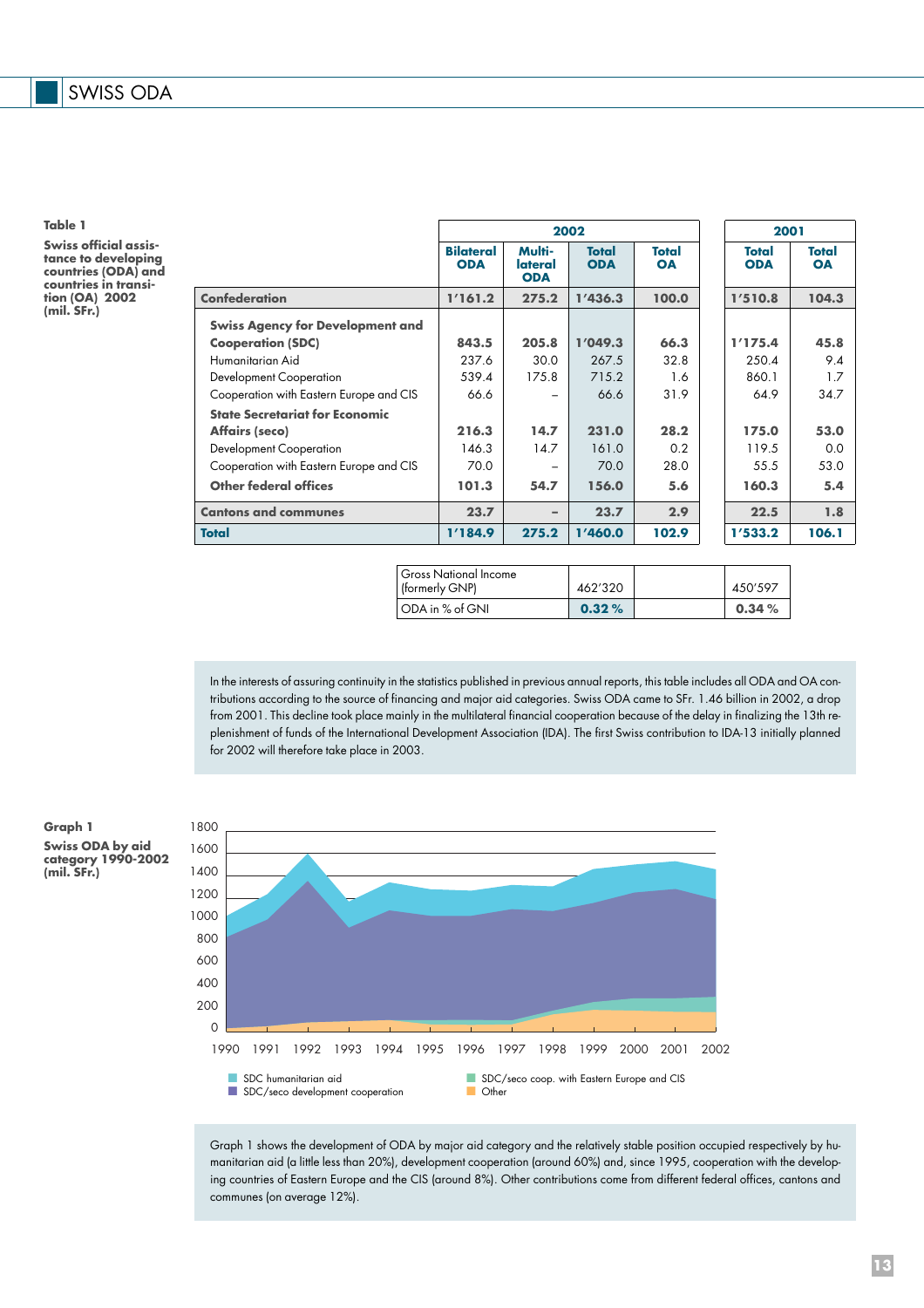**Swiss official assistance to developing countries (ODA) and countries in transition (OA) 2002 (mil. SFr.)**

|                                         |                                |                                 | 2002                |                    | 2001                |                    |
|-----------------------------------------|--------------------------------|---------------------------------|---------------------|--------------------|---------------------|--------------------|
|                                         | <b>Bilateral</b><br><b>ODA</b> | Multi-<br>lateral<br><b>ODA</b> | Total<br><b>ODA</b> | Total<br><b>OA</b> | Total<br><b>ODA</b> | Total<br><b>OA</b> |
| <b>Confederation</b>                    | 1'161.2                        | 275.2                           | 1'436.3             | 100.0              | 1'510.8             | 104.3              |
| <b>Swiss Agency for Development and</b> |                                |                                 |                     |                    |                     |                    |
| <b>Cooperation (SDC)</b>                | 843.5                          | 205.8                           | 1'049.3             | 66.3               | 1'175.4             | 45.8               |
| Humanitarian Aid                        | 237.6                          | 30.0                            | 267.5               | 32.8               | 250.4               | 9.4                |
| Development Cooperation                 | 539.4                          | 175.8                           | 715.2               | 1.6                | 860.1               | 1.7                |
| Cooperation with Eastern Europe and CIS | 66.6                           |                                 | 66.6                | 31.9               | 64.9                | 34.7               |
| <b>State Secretariat for Economic</b>   |                                |                                 |                     |                    |                     |                    |
| <b>Affairs (seco)</b>                   | 216.3                          | 14.7                            | 231.0               | 28.2               | 175.0               | 53.0               |
| Development Cooperation                 | 146.3                          | 14.7                            | 161.0               | 0.2                | 119.5               | 0.0                |
| Cooperation with Eastern Europe and CIS | 70.0                           |                                 | 70.0                | 28.0               | 55.5                | 53.0               |
| Other federal offices                   | 101.3                          | 54.7                            | 156.0               | 5.6                | 160.3               | 5.4                |
| <b>Cantons and communes</b>             | 23.7                           |                                 | 23.7                | 2.9                | 22.5                | 1.8                |
| Total                                   | 1'184.9                        | 275.2                           | 1'460.0             | 102.9              | 1'533.2             | 106.1              |

| Gross National Income<br>  (formerly GNP) | 462'320 | 450'597 |
|-------------------------------------------|---------|---------|
| ODA in % of GNI                           | 0.32%   | 0.34%   |

In the interests of assuring continuity in the statistics published in previous annual reports, this table includes all ODA and OA contributions according to the source of financing and major aid categories. Swiss ODA came to SFr. 1.46 billion in 2002, a drop from 2001. This decline took place mainly in the multilateral financial cooperation because of the delay in finalizing the 13th replenishment of funds of the International Development Association (IDA). The first Swiss contribution to IDA-13 initially planned for 2002 will therefore take place in 2003.





Graph 1 shows the development of ODA by major aid category and the relatively stable position occupied respectively by humanitarian aid (a little less than 20%), development cooperation (around 60%) and, since 1995, cooperation with the developing countries of Eastern Europe and the CIS (around 8%). Other contributions come from different federal offices, cantons and communes (on average 12%).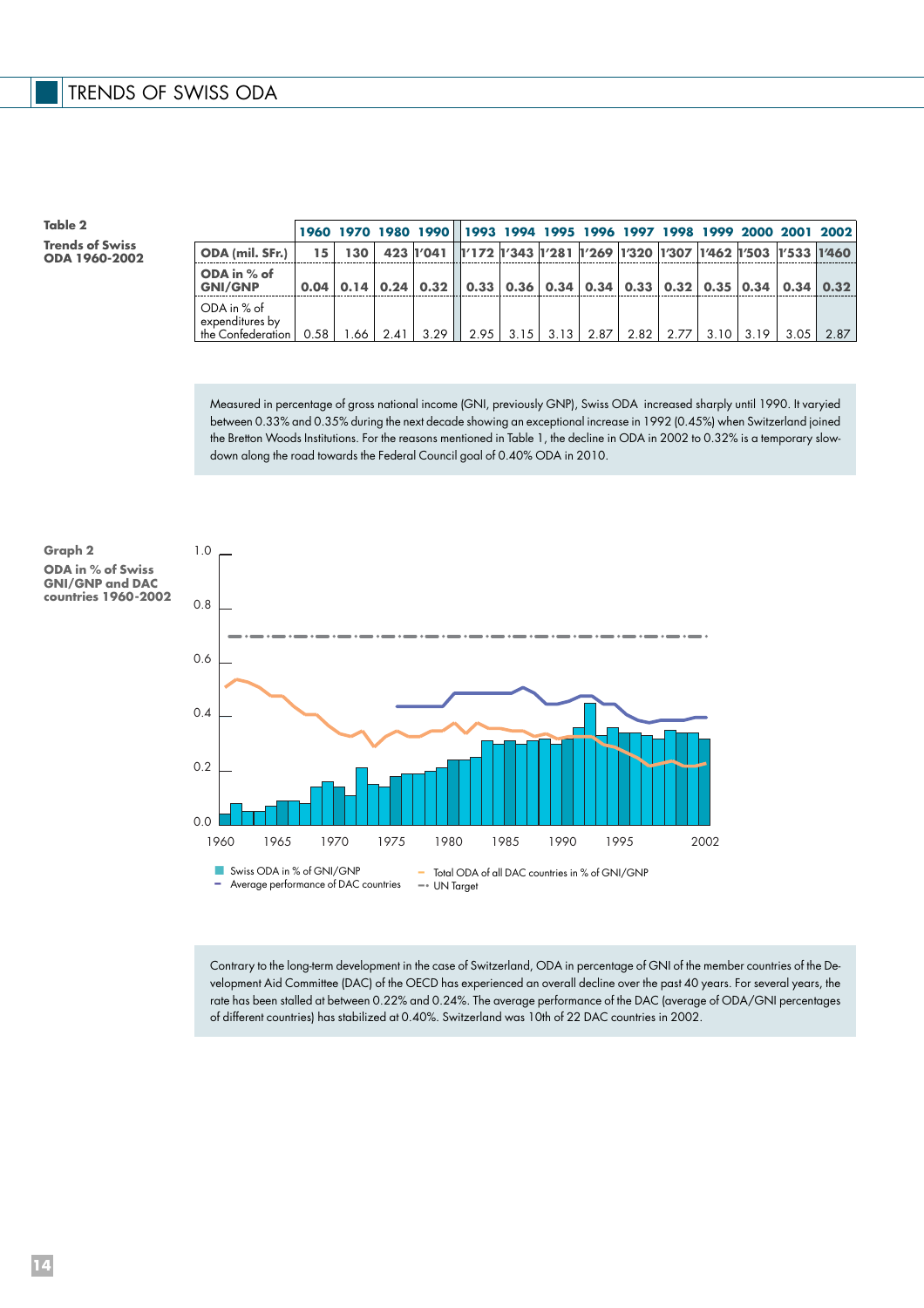**Table 2 Trends of Swiss ODA 1960-2002**

|                                                     |      |  |  | 1960 1970 1980 1990 1993 1994 1995 1996 1997 1998 1999 2000 2001 2002                                    |  |  |  |      |      |
|-----------------------------------------------------|------|--|--|----------------------------------------------------------------------------------------------------------|--|--|--|------|------|
| ODA (mil. SFr.)                                     |      |  |  | 15   130   423   1⁄041     1′172   1′343   1′281   1′269   1′320   1′307   1′462   1′503   1′533   1′460 |  |  |  |      |      |
| ODA in % of<br><b>GNI/GNP</b>                       |      |  |  | $0.04$   0.14   0.24   0.32     0.33   0.36   0.34   0.34   0.33   0.32   0.35   0.34   0.34   0.32      |  |  |  |      |      |
| ODA in % of<br>expenditures by<br>the Confederation | 0.58 |  |  | $1.66$   2.41   3.29     2.95   3.15   3.13   2.87   2.82   2.77   3.10   3.19                           |  |  |  | 3.05 | 2.87 |

Measured in percentage of gross national income (GNI, previously GNP), Swiss ODA increased sharply until 1990. It varyied between 0.33% and 0.35% during the next decade showing an exceptional increase in 1992 (0.45%) when Switzerland joined the Bretton Woods Institutions. For the reasons mentioned in Table 1, the decline in ODA in 2002 to 0.32% is a temporary slowdown along the road towards the Federal Council goal of 0.40% ODA in 2010.



Contrary to the long-term development in the case of Switzerland, ODA in percentage of GNI of the member countries of the Development Aid Committee (DAC) of the OECD has experienced an overall decline over the past 40 years. For several years, the rate has been stalled at between 0.22% and 0.24%. The average performance of the DAC (average of ODA/GNI percentages of different countries) has stabilized at 0.40%. Switzerland was 10th of 22 DAC countries in 2002.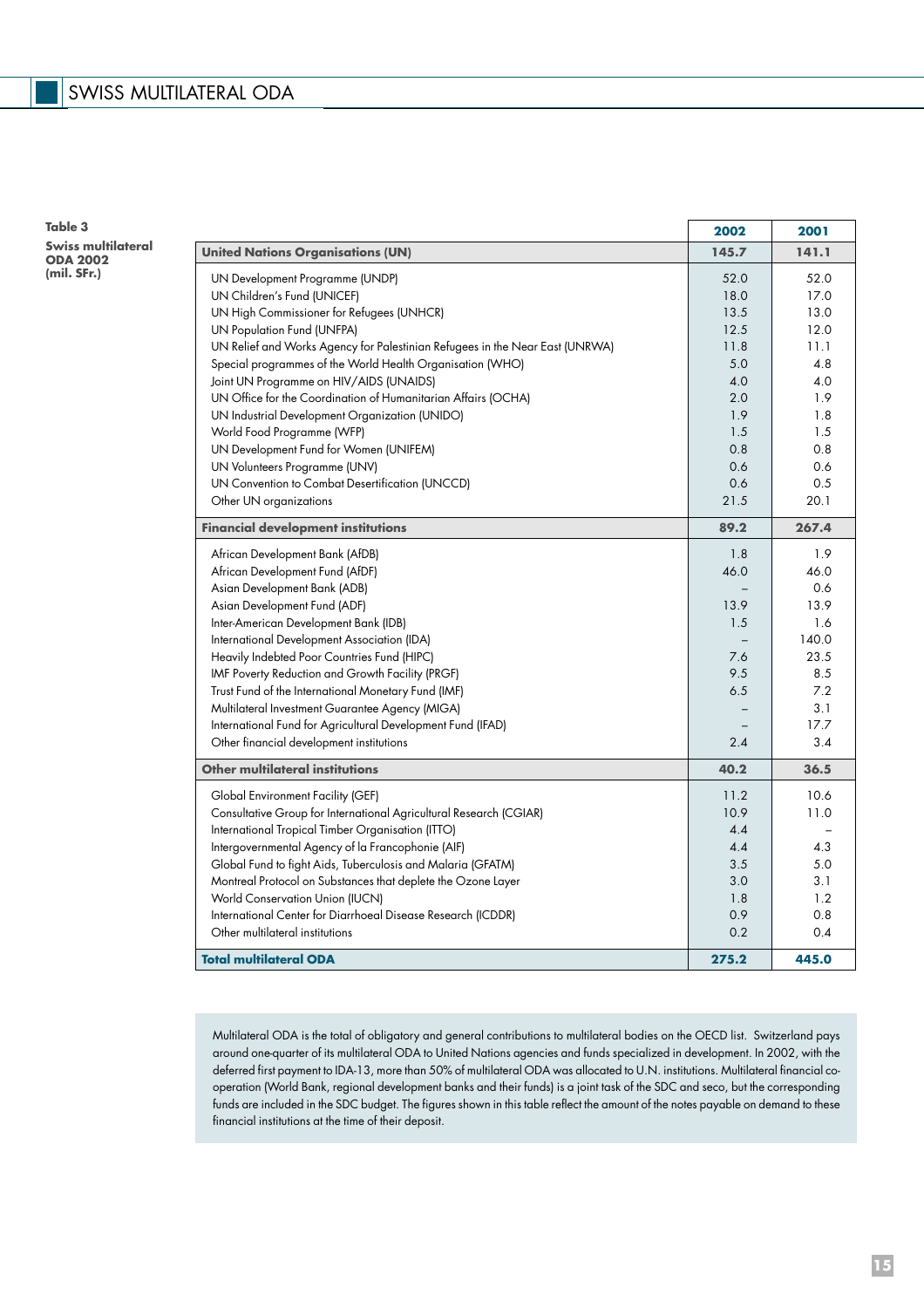**Swiss multilateral ODA 2002 (mil. SFr.)**

|                                                                              | 2002  | 2001  |
|------------------------------------------------------------------------------|-------|-------|
| <b>United Nations Organisations (UN)</b>                                     | 145.7 | 141.1 |
| UN Development Programme (UNDP)                                              | 52.0  | 52.0  |
| UN Children's Fund (UNICEF)                                                  | 18.0  | 17.0  |
| UN High Commissioner for Refugees (UNHCR)                                    | 13.5  | 13.0  |
| UN Population Fund (UNFPA)                                                   | 12.5  | 12.0  |
| UN Relief and Works Agency for Palestinian Refugees in the Near East (UNRWA) | 11.8  | 11.1  |
| Special programmes of the World Health Organisation (WHO)                    | 5.0   | 4.8   |
| Joint UN Programme on HIV/AIDS (UNAIDS)                                      | 4.0   | 4.0   |
| UN Office for the Coordination of Humanitarian Affairs (OCHA)                | 2.0   | 1.9   |
| UN Industrial Development Organization (UNIDO)                               | 1.9   | 1.8   |
| World Food Programme (WFP)                                                   | 1.5   | 1.5   |
| UN Development Fund for Women (UNIFEM)                                       | 0.8   | 0.8   |
| UN Volunteers Programme (UNV)                                                | 0.6   | 0.6   |
| UN Convention to Combat Desertification (UNCCD)                              | 0.6   | 0.5   |
| Other UN organizations                                                       | 21.5  | 20.1  |
| <b>Financial development institutions</b>                                    | 89.2  | 267.4 |
| African Development Bank (AfDB)                                              | 1.8   | 1.9   |
| African Development Fund (AfDF)                                              | 46.0  | 46.0  |
| Asian Development Bank (ADB)                                                 |       | 0.6   |
| Asian Development Fund (ADF)                                                 | 13.9  | 13.9  |
| Inter-American Development Bank (IDB)                                        | 1.5   | 1.6   |
| International Development Association (IDA)                                  |       | 140.0 |
| Heavily Indebted Poor Countries Fund (HIPC)                                  | 7.6   | 23.5  |
| IMF Poverty Reduction and Growth Facility (PRGF)                             | 9.5   | 8.5   |
| Trust Fund of the International Monetary Fund (IMF)                          | 6.5   | 7.2   |
| Multilateral Investment Guarantee Agency (MIGA)                              |       | 3.1   |
| International Fund for Agricultural Development Fund (IFAD)                  |       | 17.7  |
| Other financial development institutions                                     | 2.4   | 3.4   |
| Other multilateral institutions                                              | 40.2  | 36.5  |
| Global Environment Facility (GEF)                                            | 11.2  | 10.6  |
| Consultative Group for International Agricultural Research (CGIAR)           | 10.9  | 11.0  |
| International Tropical Timber Organisation (ITTO)                            | 4.4   |       |
| Intergovernmental Agency of la Francophonie (AIF)                            | 4.4   | 4.3   |
| Global Fund to fight Aids, Tuberculosis and Malaria (GFATM)                  | 3.5   | 5.0   |
| Montreal Protocol on Substances that deplete the Ozone Layer                 | 3.0   | 3.1   |
| World Conservation Union (IUCN)                                              | 1.8   | 1.2   |
| International Center for Diarrhoeal Disease Research (ICDDR)                 | 0.9   | 0.8   |
| Other multilateral institutions                                              | 0.2   | 0.4   |
| <b>Total multilateral ODA</b>                                                | 275.2 | 445.0 |

Multilateral ODA is the total of obligatory and general contributions to multilateral bodies on the OECD list. Switzerland pays around one-quarter of its multilateral ODA to United Nations agencies and funds specialized in development. In 2002, with the deferred first payment to IDA-13, more than 50% of multilateral ODA was allocated to U.N. institutions. Multilateral financial cooperation (World Bank, regional development banks and their funds) is a joint task of the SDC and seco, but the corresponding funds are included in the SDC budget. The figures shown in this table reflect the amount of the notes payable on demand to these financial institutions at the time of their deposit.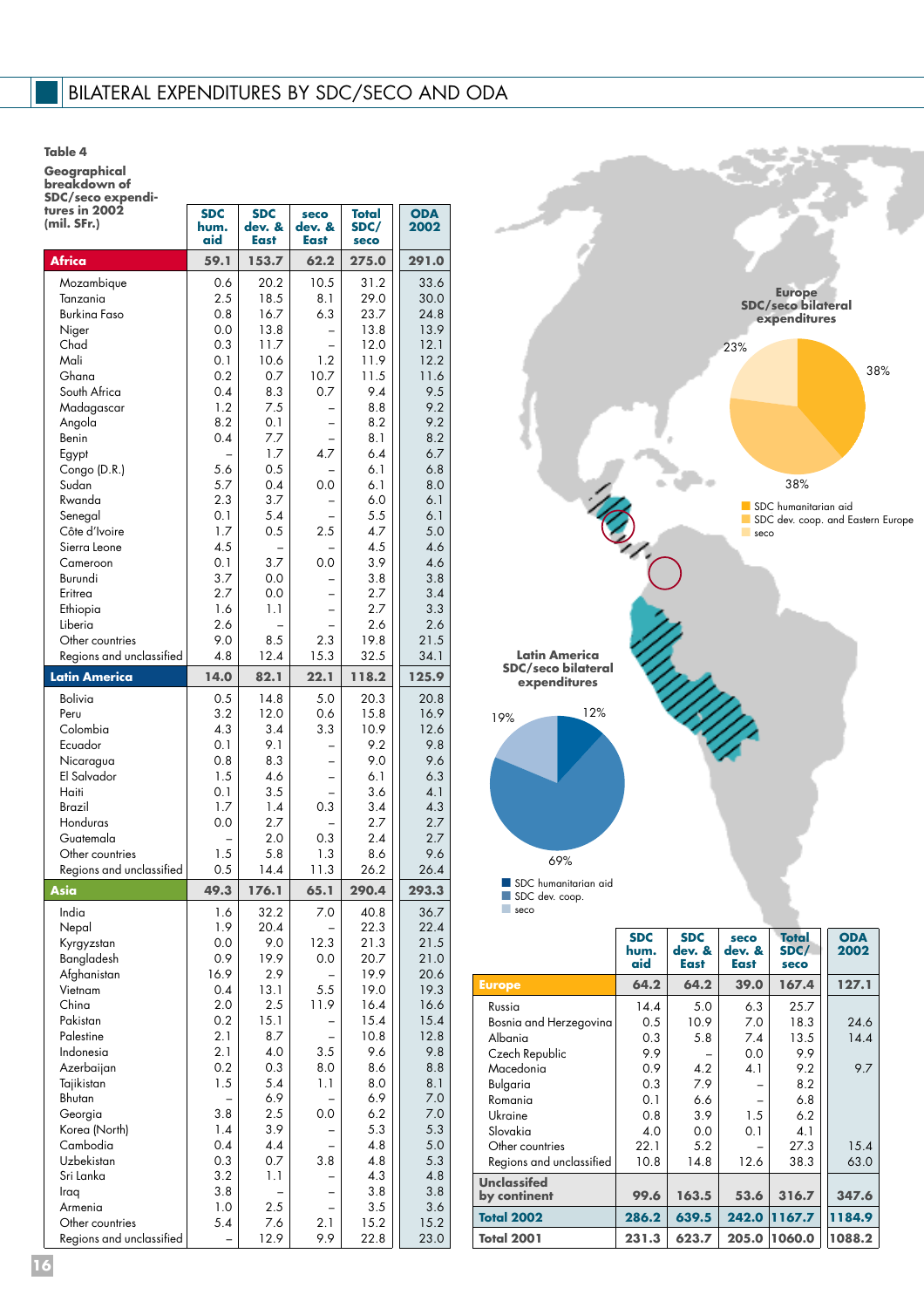**Geographical**

**breakdown of**

| <b>SDC/seco expendi-</b>     |                           |                              |                               |                              |                    |
|------------------------------|---------------------------|------------------------------|-------------------------------|------------------------------|--------------------|
| tures in 2002<br>(mil. SFr.) | <b>SDC</b><br>hum.<br>aid | <b>SDC</b><br>dev. &<br>East | seco<br>dev. &<br><b>East</b> | <b>Total</b><br>SDC/<br>seco | <b>ODA</b><br>2002 |
| Africa                       | 59.1                      | 153.7                        | 62.2                          | 275.0                        | 291.0              |
| Mozambique                   | 0.6                       | 20.2                         | 10.5                          | 31.2                         | 33.6               |
| Tanzania                     | 2.5                       | 18.5                         | 8.1                           | 29.0                         | 30.0               |
| Burkina Faso                 | 0.8                       | 16.7                         | 6.3                           | 23.7                         | 24.8               |
| Niger                        | 0.0                       | 13.8                         | $\overline{\phantom{0}}$      | 13.8                         | 13.9               |
| Chad                         | 0.3                       | 11.7                         |                               | 12.0                         | 12.1               |
| Mali<br>Ghana                | 0.1<br>0.2                | 10.6<br>0.7                  | 1.2<br>10.7                   | 11.9<br>11.5                 | 12.2<br>11.6       |
| South Africa                 | 0.4                       | 8.3                          | 0.7                           | 9.4                          | 9.5                |
| Madagascar                   | 1.2                       | 7.5                          |                               | 8.8                          | 9.2                |
| Angola                       | 8.2                       | 0.1                          |                               | 8.2                          | 9.2                |
| Benin                        | 0.4                       | 7.7                          |                               | 8.1                          | 8.2                |
| Egypt                        |                           | 1.7                          | 4.7                           | 6.4                          | 6.7                |
| Congo (D.R.)                 | 5.6                       | 0.5                          |                               | 6.1                          | 6.8                |
| Sudan                        | 5.7                       | 0.4                          | 0.0                           | 6.1                          | 8.0                |
| Rwanda                       | 2.3<br>0.1                | 3.7<br>5.4                   |                               | 6.0<br>5.5                   | 6.1<br>6.1         |
| Senegal<br>Côte d'Ivoire     | 1.7                       | 0.5                          | 2.5                           | 4.7                          | 5.0                |
| Sierra Leone                 | 4.5                       |                              |                               | 4.5                          | 4.6                |
| Cameroon                     | 0.1                       | 3.7                          | 0.0                           | 3.9                          | 4.6                |
| Burundi                      | 3.7                       | 0.0                          |                               | 3.8                          | 3.8                |
| Eritrea                      | 2.7                       | 0.0                          |                               | 2.7                          | 3.4                |
| Ethiopia                     | 1.6                       | 1.1                          |                               | 2.7                          | 3.3                |
| Liberia                      | 2.6                       |                              |                               | 2.6                          | 2.6                |
| Other countries              | 9.0                       | 8.5                          | 2.3                           | 19.8                         | 21.5               |
| Regions and unclassified     | 4.8                       | 12.4                         | 15.3                          | 32.5                         | 34.1               |
| Latin America                | 14.0                      | 82.1                         | 22.1                          | 118.2                        | 125.9              |
| Bolivia                      | 0.5                       | 14.8                         | 5.0                           | 20.3                         | 20.8               |
| Peru                         | 3.2                       | 12.0                         | 0.6                           | 15.8                         | 16.9               |
| Colombia                     | 4.3                       | 3.4                          | 3.3                           | 10.9                         | 12.6               |
| Ecuador                      | 0.1                       | 9.1                          |                               | 9.2                          | 9.8                |
| Nicaragua<br>El Salvador     | 0.8<br>1.5                | 8.3<br>4.6                   |                               | 9.0<br>6.1                   | 9.6<br>6.3         |
| Haiti                        | 0.1                       | 3.5                          |                               | 3.6                          | 4.1                |
| Brazil                       | 1.7                       | 1.4                          | 0.3                           | 3.4                          | 4.3                |
| Honduras                     | 0.0                       | 2.7                          |                               | 2.7                          | 2.7                |
| Guatemala                    |                           | 2.0                          | 0.3                           | 2.4                          | 2.7                |
| Other countries              | 1.5                       | 5.8                          | 1.3                           | 8.6                          | 9.6                |
| Regions and unclassified     | 0.5                       | 14.4                         | 11.3                          | 26.2                         | 26.4               |
| Asia                         | 49.3                      | 176.1                        | 65.1                          | 290.4                        | 293.3              |
| India                        | 1.6                       | 32.2                         | 7.0                           | 40.8                         | 36.7               |
| Nepal                        | 1.9                       | 20.4                         |                               | 22.3                         | 22.4               |
| Kyrgyzstan                   | 0.0                       | 9.0                          | 12.3                          | 21.3                         | 21.5               |
| Bangladesh<br>Afghanistan    | 0.9<br>16.9               | 19.9<br>2.9                  | 0.0                           | 20.7<br>19.9                 | 21.0<br>20.6       |
| Vietnam                      | 0.4                       | 13.1                         | 5.5                           | 19.0                         | 19.3               |
| China                        | 2.0                       | 2.5                          | 11.9                          | 16.4                         | 16.6               |
| Pakistan                     | 0.2                       | 15.1                         |                               | 15.4                         | 15.4               |
| Palestine                    | 2.1                       | 8.7                          |                               | 10.8                         | 12.8               |
| Indonesia                    | 2.1                       | 4.0                          | 3.5                           | 9.6                          | 9.8                |
| Azerbaijan                   | 0.2                       | 0.3                          | 8.0                           | 8.6                          | 8.8                |
| Tajikistan                   | 1.5                       | 5.4                          | 1.1                           | 8.0                          | 8.1                |
| Bhutan                       | -                         | 6.9                          |                               | 6.9                          | 7.0                |
| Georgia                      | 3.8                       | 2.5                          | 0.0                           | 6.2                          | 7.0                |
| Korea (North)                | $1.4$                     | 3.9                          |                               | 5.3                          | 5.3                |
| Cambodia                     | 0.4                       | 4.4                          |                               | 4.8                          | 5.0                |
| Uzbekistan<br>Sri Lanka      | 0.3<br>3.2                | 0.7<br>1.1                   | 3.8                           | 4.8<br>4.3                   | 5.3<br>4.8         |
| Iraq                         | 3.8                       |                              | $\overline{\phantom{0}}$      | 3.8                          | 3.8                |
| Armenia                      | 1.0                       | 2.5                          |                               | 3.5                          | 3.6                |
| Other countries              | 5.4                       | 7.6                          | 2.1                           | 15.2                         | 15.2               |
| Regions and unclassified     |                           | 12.9                         | 9.9                           | 22.8                         | 23.0               |



|                                    | <b>SDC</b><br>hum.<br>aid | <b>SDC</b><br>dev. &<br>East | seco<br>dev. &<br><b>East</b> | <b>Total</b><br>SDC/<br>seco | <b>ODA</b><br>2002 |
|------------------------------------|---------------------------|------------------------------|-------------------------------|------------------------------|--------------------|
| <b>Europe</b>                      | 64.2                      | 64.2                         | 39.0                          | 167.4                        | 127.1              |
| Russia                             | 14.4                      | 5.0                          | 6.3                           | 25.7                         |                    |
| Bosnia and Herzegovina             | 0.5                       | 10.9                         | 7.0                           | 18.3                         | 24.6               |
| Albania                            | 0.3                       | 5.8                          | 7.4                           | 13.5                         | 14.4               |
| Czech Republic                     | 9.9                       |                              | 0.0                           | 9.9                          |                    |
| Macedonia                          | 0.9                       | 4.2                          | 4.1                           | 9.2                          | 9.7                |
| Bulgaria                           | 0.3                       | 7.9                          |                               | 8.2                          |                    |
| Romania                            | 0.1                       | 6.6                          |                               | 6.8                          |                    |
| Ukraine                            | 0.8                       | 3.9                          | 1.5                           | 6.2                          |                    |
| Slovakia                           | 4.0                       | 0.0                          | 0.1                           | 4.1                          |                    |
| Other countries                    | 22.1                      | 5.2                          |                               | 27.3                         | 15.4               |
| Regions and unclassified           | 10.8                      | 14.8                         | 12.6                          | 38.3                         | 63.0               |
| <b>Unclassifed</b><br>by continent | 99.6                      | 163.5                        | 53.6                          | 316.7                        | 347.6              |
| <b>Total 2002</b>                  | 286.2                     | 639.5                        | 242.0                         | 1167.7                       | 1184.9             |
| <b>Total 2001</b>                  | 231.3                     | 623.7                        | 205.0                         | 1060.0                       | 1088.2             |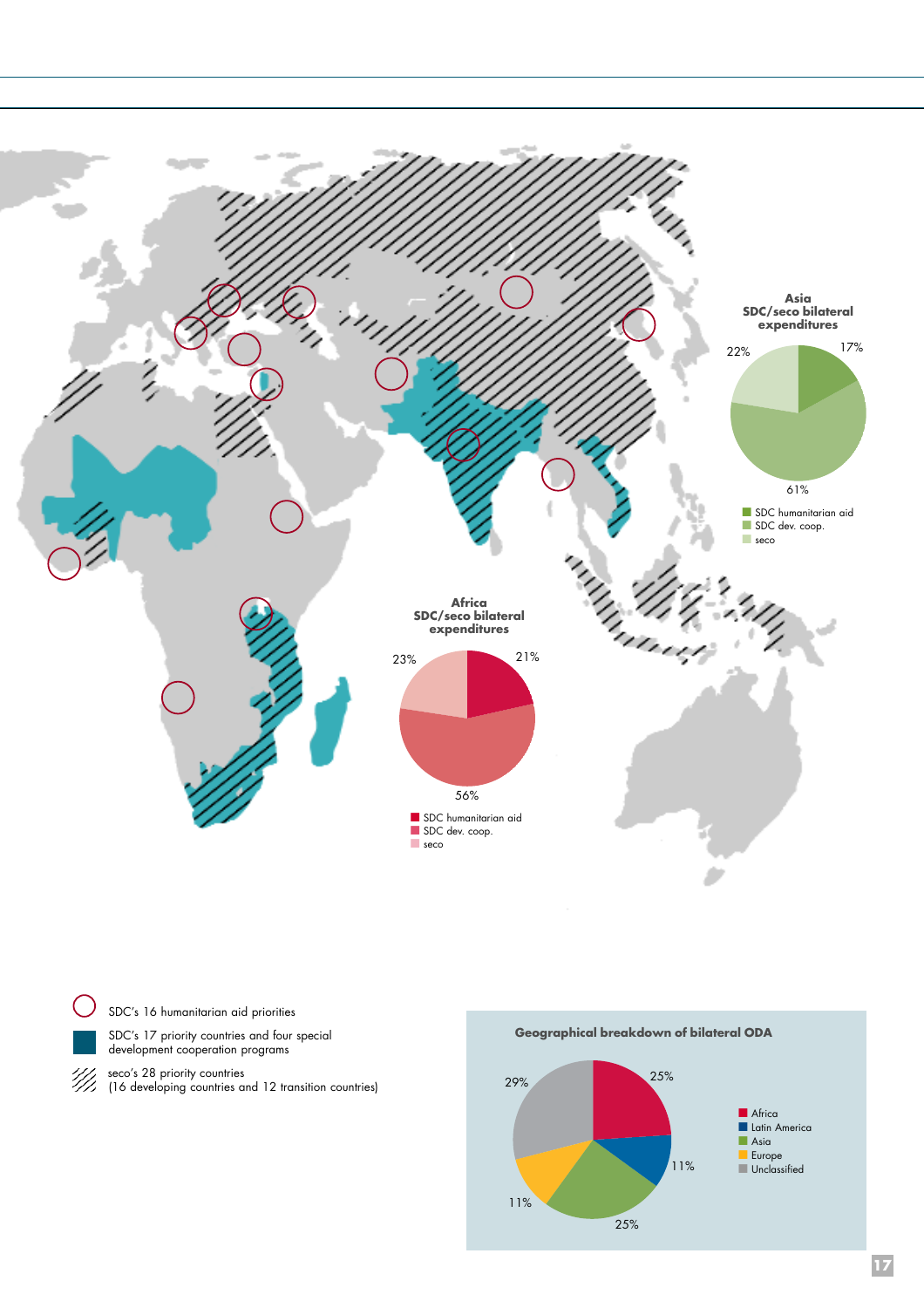





SDC's 17 priority countries and four special development cooperation programs

seco's 28 priority countries (16 developing countries and 12 transition countries)

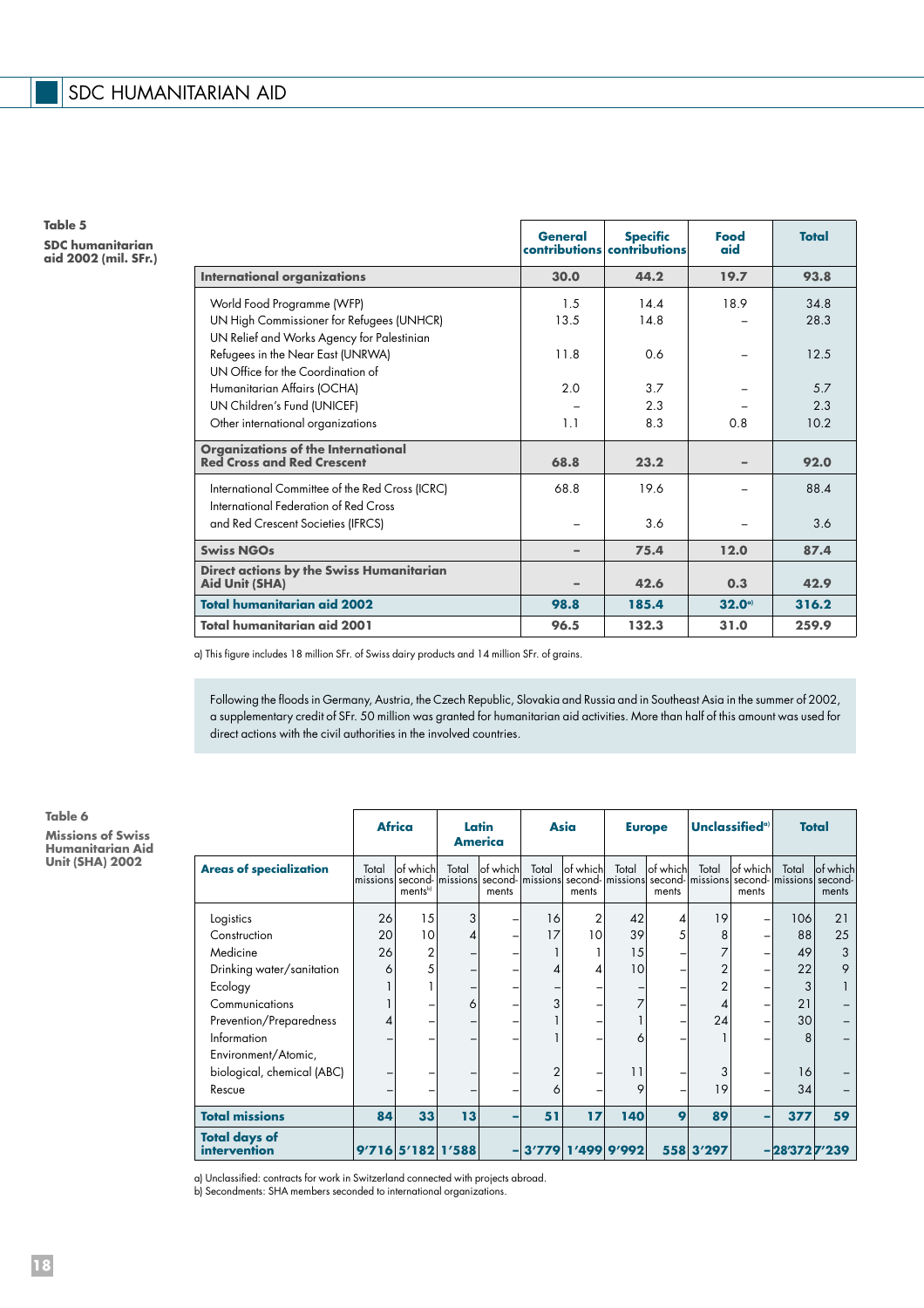#### **Table 5 SDC humanitarian aid 2002 (mil. SFr.)**

|                                                                                          | <b>General</b> | <b>Specific</b><br>contributions contributions | <b>Food</b><br>aid | <b>Total</b> |
|------------------------------------------------------------------------------------------|----------------|------------------------------------------------|--------------------|--------------|
| <b>International organizations</b>                                                       | 30.0           | 44.2                                           | 19.7               | 93.8         |
| World Food Programme (WFP)                                                               | 1.5            | 14.4                                           | 18.9               | 34.8         |
| UN High Commissioner for Refugees (UNHCR)                                                | 13.5           | 14.8                                           |                    | 28.3         |
| UN Relief and Works Agency for Palestinian                                               |                |                                                |                    |              |
| Refugees in the Near East (UNRWA)                                                        | 11.8           | 0.6                                            |                    | 12.5         |
| UN Office for the Coordination of                                                        |                |                                                |                    |              |
| Humanitarian Affairs (OCHA)                                                              | 2.0            | 3.7                                            |                    | 5.7          |
| UN Children's Fund (UNICEF)                                                              |                | 2.3                                            |                    | 2.3          |
| Other international organizations                                                        | 1.1            | 8.3                                            | 0.8                | 10.2         |
| <b>Organizations of the International</b><br><b>Red Cross and Red Crescent</b>           | 68.8           | 23.2                                           |                    | 92.0         |
| International Committee of the Red Cross (ICRC)<br>International Federation of Red Cross | 68.8           | 19.6                                           |                    | 88.4         |
| and Red Crescent Societies (IFRCS)                                                       |                | 3.6                                            |                    | 3.6          |
| <b>Swiss NGOs</b>                                                                        | -              | 75.4                                           | 12.0               | 87.4         |
| Direct actions by the Swiss Humanitarian<br>Aid Unit (SHA)                               |                | 42.6                                           | 0.3                | 42.9         |
| <b>Total humanitarian aid 2002</b>                                                       | 98.8           | 185.4                                          | 32.0°              | 316.2        |
| <b>Total humanitarian aid 2001</b>                                                       | 96.5           | 132.3                                          | 31.0               | 259.9        |

T

Ī

Т

٦

a) This figure includes 18 million SFr. of Swiss dairy products and 14 million SFr. of grains.

Following the floods in Germany, Austria, the Czech Republic, Slovakia and Russia and in Southeast Asia in the summer of 2002, a supplementary credit of SFr. 50 million was granted for humanitarian aid activities. More than half of this amount was used for direct actions with the civil authorities in the involved countries.

#### **Table 6 Missions of Swiss Humanitarian Aid Unit (SHA) 2002**

|                                      | <b>Africa</b> |                                                            |       | Latin<br><b>America</b> | Asia                      |                   |                                            | <b>Europe</b>     |           | Unclassified <sup>®</sup> | <b>Total</b>              |                    |
|--------------------------------------|---------------|------------------------------------------------------------|-------|-------------------------|---------------------------|-------------------|--------------------------------------------|-------------------|-----------|---------------------------|---------------------------|--------------------|
| <b>Areas of specialization</b>       | Total         | lof whichl<br>missions second- missions second-<br>mentsbl | Total | of whichl<br>ments      | Total<br>missions second- | of which<br>ments | Total<br>missions second- missions second- | of which<br>ments | Total     | of which<br>ments         | Total<br>missions second- | lof which<br>ments |
| Logistics                            | 26            | 15                                                         | 3     |                         | 16                        | 2                 | 42                                         | 4                 | 19        | -                         | 106                       | 21                 |
| Construction                         | 20            | 10                                                         | 4     |                         | 17                        | 10                | 39                                         | 5                 | 8         | -                         | 88                        | 25                 |
| Medicine                             | 26            | $\overline{2}$                                             |       |                         |                           |                   | 15                                         |                   |           | -                         | 49                        | 3                  |
| Drinking water/sanitation            | 6             | 5                                                          |       |                         | 4                         | ⊿                 | 10                                         |                   |           |                           | 22                        | 9                  |
| Ecology                              |               |                                                            |       |                         |                           |                   |                                            |                   |           |                           | 3                         |                    |
| Communications                       |               |                                                            | 6     |                         | 3                         |                   | 7                                          |                   | ⊿         | -                         | 21                        |                    |
| Prevention/Preparedness              | 4             |                                                            |       |                         |                           |                   |                                            |                   | 24        | -                         | 30                        |                    |
| Information                          |               |                                                            |       |                         |                           |                   | 6                                          |                   |           |                           | 8                         |                    |
| Environment/Atomic,                  |               |                                                            |       |                         |                           |                   |                                            |                   |           |                           |                           |                    |
| biological, chemical (ABC)           |               |                                                            |       |                         | $\overline{2}$            |                   | 11                                         |                   | 3         |                           | 16                        |                    |
| Rescue                               |               |                                                            |       |                         | 6                         |                   | 9                                          |                   | 19        | -                         | 34                        |                    |
| <b>Total missions</b>                | 84            | 33                                                         | 13    | -                       | 51                        | 17                | 140                                        | 9                 | 89        | -                         | 377                       | 59                 |
| <b>Total days of</b><br>intervention |               | 9'716 5'182 1'588                                          |       |                         | 3'779                     |                   | 1'499 9'992                                |                   | 558 3'297 |                           | $-28'372'7'239$           |                    |

a) Unclassified: contracts for work in Switzerland connected with projects abroad.

b) Secondments: SHA members seconded to international organizations.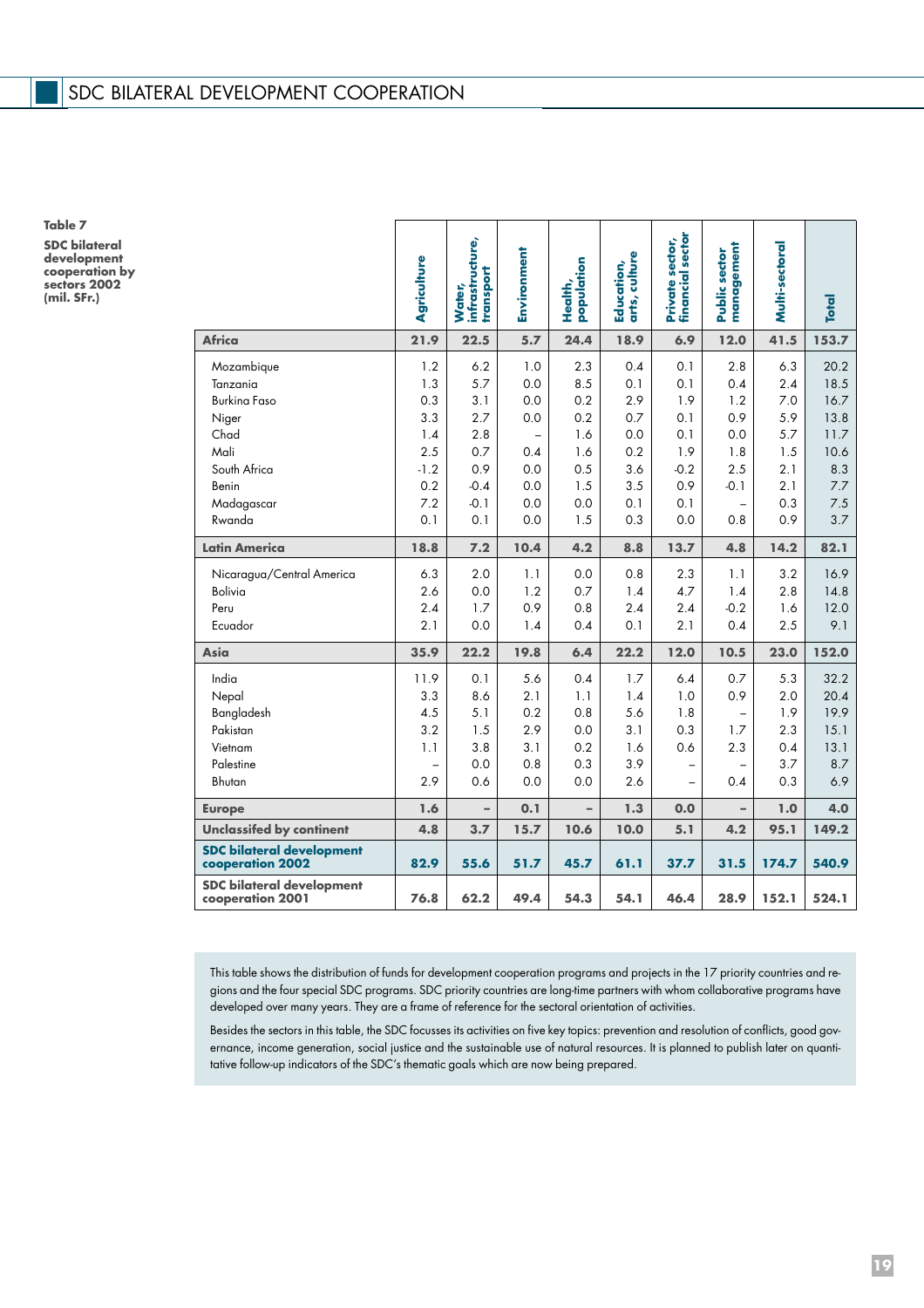**Table 7 SDC bilateral development cooperation by sectors 2002 (mil. SFr.)**

|                                                      | Agriculture | infrastructure,<br>transport<br>Water, | Environment | population<br>Health, | culture<br>Education,<br>arts <sub>1</sub> | financial sector<br>Private sector, | management<br><b>Public sector</b> | Multi-sectoral | <b>Total</b> |
|------------------------------------------------------|-------------|----------------------------------------|-------------|-----------------------|--------------------------------------------|-------------------------------------|------------------------------------|----------------|--------------|
| Africa                                               | 21.9        | 22.5                                   | 5.7         | 24.4                  | 18.9                                       | 6.9                                 | 12.0                               | 41.5           | 153.7        |
| Mozambique                                           | 1.2         | 6.2                                    | 1.0         | 2.3                   | 0.4                                        | 0.1                                 | 2.8                                | 6.3            | 20.2         |
| Tanzania                                             | 1.3         | 5.7                                    | 0.0         | 8.5                   | 0.1                                        | 0.1                                 | 0.4                                | 2.4            | 18.5         |
| <b>Burking Faso</b>                                  | 0.3         | 3.1                                    | 0.0         | 0.2                   | 2.9                                        | 1.9                                 | 1.2                                | 7.0            | 16.7         |
| Niger                                                | 3.3         | 2.7                                    | 0.0         | 0.2                   | 0.7                                        | 0.1                                 | 0.9                                | 5.9            | 13.8         |
| Chad                                                 | 1.4         | 2.8                                    |             | 1.6                   | 0.0                                        | 0.1                                 | 0.0                                | 5.7            | 11.7         |
| Mali                                                 | 2.5         | 0.7                                    | 0.4         | 1.6                   | 0.2                                        | 1.9                                 | 1.8                                | 1.5            | 10.6         |
| South Africa                                         | $-1.2$      | 0.9                                    | 0.0         | 0.5                   | 3.6                                        | $-0.2$                              | 2.5                                | 2.1            | 8.3          |
| Benin                                                | 0.2         | $-0.4$                                 | 0.0         | 1.5                   | 3.5                                        | 0.9                                 | $-0.1$                             | 2.1            | 7.7          |
| Madagascar                                           | 7.2         | $-0.1$                                 | 0.0         | 0.0                   | 0.1                                        | 0.1                                 |                                    | 0.3            | 7.5          |
| Rwanda                                               | 0.1         | 0.1                                    | 0.0         | 1.5                   | 0.3                                        | 0.0                                 | 0.8                                | 0.9            | 3.7          |
| <b>Latin America</b>                                 | 18.8        | 7.2                                    | 10.4        | 4.2                   | 8.8                                        | 13.7                                | 4.8                                | 14.2           | 82.1         |
| Nicaragua/Central America                            | 6.3         | 2.0                                    | 1.1         | 0.0                   | 0.8                                        | 2.3                                 | 1.1                                | 3.2            | 16.9         |
| Bolivia                                              | 2.6         | 0.0                                    | 1.2         | 0.7                   | 1.4                                        | 4.7                                 | 1.4                                | 2.8            | 14.8         |
| Peru                                                 | 2.4         | 1.7                                    | 0.9         | 0.8                   | 2.4                                        | 2.4                                 | $-0.2$                             | 1.6            | 12.0         |
| Ecuador                                              | 2.1         | 0.0                                    | 1.4         | 0.4                   | 0.1                                        | 2.1                                 | 0.4                                | 2.5            | 9.1          |
| Asia                                                 | 35.9        | 22.2                                   | 19.8        | 6.4                   | 22.2                                       | 12.0                                | 10.5                               | 23.0           | 152.0        |
| India                                                | 11.9        | 0.1                                    | 5.6         | 0.4                   | 1.7                                        | 6.4                                 | 0.7                                | 5.3            | 32.2         |
| Nepal                                                | 3.3         | 8.6                                    | 2.1         | 1.1                   | 1.4                                        | 1.0                                 | 0.9                                | 2.0            | 20.4         |
| Bangladesh                                           | 4.5         | 5.1                                    | 0.2         | 0.8                   | 5.6                                        | 1.8                                 |                                    | 1.9            | 19.9         |
| Pakistan                                             | 3.2         | 1.5                                    | 2.9         | 0.0                   | 3.1                                        | 0.3                                 | 1.7                                | 2.3            | 15.1         |
| Vietnam                                              | 1.1         | 3.8                                    | 3.1         | 0.2                   | 1.6                                        | 0.6                                 | 2.3                                | 0.4            | 13.1         |
| Palestine                                            |             | 0.0                                    | 0.8         | 0.3                   | 3.9                                        | -                                   |                                    | 3.7            | 8.7          |
| Bhutan                                               | 2.9         | 0.6                                    | 0.0         | 0.0                   | 2.6                                        | -                                   | 0.4                                | 0.3            | 6.9          |
| <b>Europe</b>                                        | 1.6         | $\overline{a}$                         | 0.1         | $\overline{a}$        | 1.3                                        | 0.0                                 | $\overline{\phantom{0}}$           | 1.0            | 4.0          |
| <b>Unclassifed by continent</b>                      | 4.8         | 3.7                                    | 15.7        | 10.6                  | 10.0                                       | 5.1                                 | 4.2                                | 95.1           | 149.2        |
| <b>SDC bilateral development</b><br>cooperation 2002 | 82.9        | 55.6                                   | 51.7        | 45.7                  | 61.1                                       | 37.7                                | 31.5                               | 174.7          | 540.9        |
| <b>SDC bilateral development</b><br>cooperation 2001 | 76.8        | 62.2                                   | 49.4        | 54.3                  | 54.1                                       | 46.4                                | 28.9                               | 152.1          | 524.1        |

This table shows the distribution of funds for development cooperation programs and projects in the 17 priority countries and regions and the four special SDC programs. SDC priority countries are long-time partners with whom collaborative programs have developed over many years. They are a frame of reference for the sectoral orientation of activities.

Besides the sectors in this table, the SDC focusses its activities on five key topics: prevention and resolution of conflicts, good governance, income generation, social justice and the sustainable use of natural resources. It is planned to publish later on quantitative follow-up indicators of the SDC's thematic goals which are now being prepared.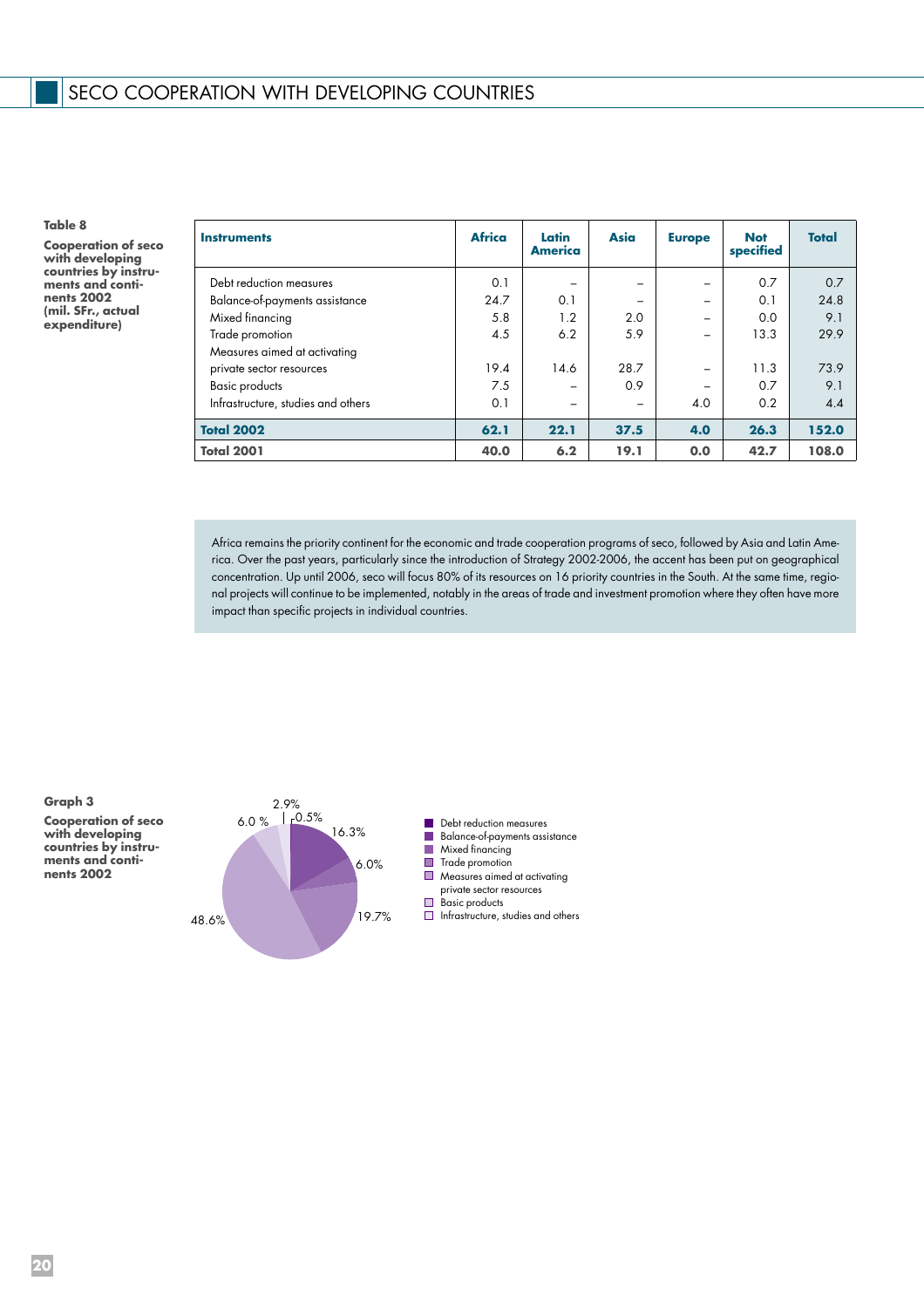**Cooperation of seco with developing countries by instruments and continents 2002 (mil. SFr., actual expenditure)**

| <b>Instruments</b>                 | <b>Africa</b> | Latin<br><b>America</b> | Asia                     | <b>Europe</b> | <b>Not</b><br>specified | <b>Total</b> |
|------------------------------------|---------------|-------------------------|--------------------------|---------------|-------------------------|--------------|
| Debt reduction measures            | 0.1           |                         | -                        |               | 0.7                     | 0.7          |
| Balance-of-payments assistance     | 24.7          | 0.1                     | -                        | -             | 0.1                     | 24.8         |
| Mixed financing                    | 5.8           | 1.2                     | 2.0                      |               | 0.0                     | 9.1          |
| Trade promotion                    | 4.5           | 6.2                     | 5.9                      |               | 13.3                    | 29.9         |
| Measures aimed at activating       |               |                         |                          |               |                         |              |
| private sector resources           | 19.4          | 14.6                    | 28.7                     |               | 11.3                    | 73.9         |
| <b>Basic products</b>              | 7.5           |                         | 0.9                      |               | 0.7                     | 9.1          |
| Infrastructure, studies and others | 0.1           | -                       | $\overline{\phantom{0}}$ | 4.0           | 0.2                     | 4.4          |
| <b>Total 2002</b>                  | 62.1          | 22.1                    | 37.5                     | 4.0           | 26.3                    | 152.0        |
| <b>Total 2001</b>                  | 40.0          | 6.2                     | 19.1                     | 0.0           | 42.7                    | 108.0        |

Africa remains the priority continent for the economic and trade cooperation programs of seco, followed by Asia and Latin America. Over the past years, particularly since the introduction of Strategy 2002-2006, the accent has been put on geographical concentration. Up until 2006, seco will focus 80% of its resources on 16 priority countries in the South. At the same time, regional projects will continue to be implemented, notably in the areas of trade and investment promotion where they often have more impact than specific projects in individual countries.

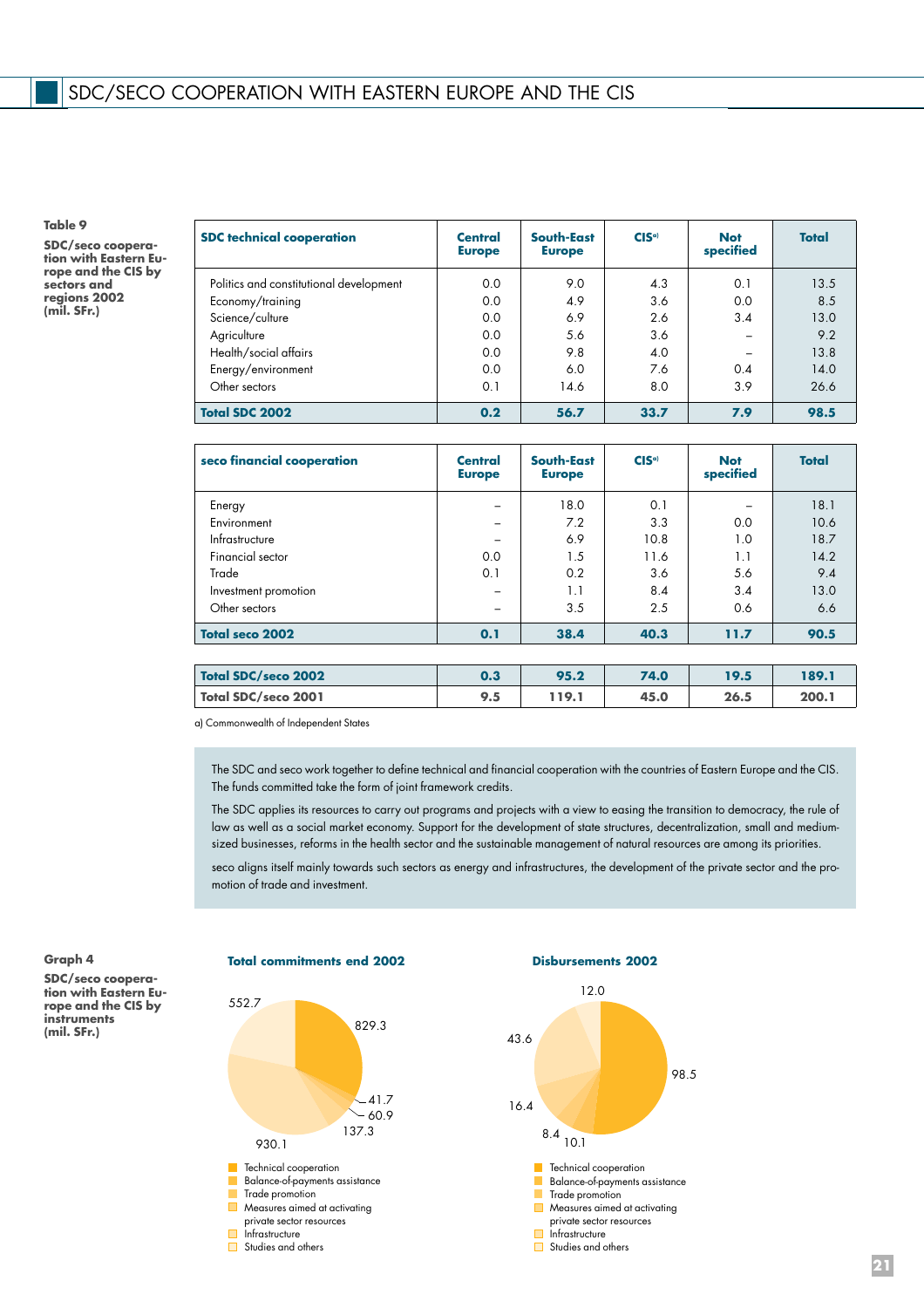**SDC/seco cooperation with Eastern Europe and the CIS by sectors and regions 2002 (mil. SFr.)**

| <b>SDC technical cooperation</b>        | <b>Central</b><br><b>Europe</b> | South-East<br><b>Europe</b> | CIS <sup>a</sup> | <b>Not</b><br>specified | <b>Total</b> |
|-----------------------------------------|---------------------------------|-----------------------------|------------------|-------------------------|--------------|
| Politics and constitutional development | 0.0                             | 9.0                         | 4.3              | 0.1                     | 13.5         |
| Economy/training                        | 0.0                             | 4.9                         | 3.6              | 0.0                     | 8.5          |
| Science/culture                         | 0.0                             | 6.9                         | 2.6              | 3.4                     | 13.0         |
| Agriculture                             | 0.0                             | 5.6                         | 3.6              |                         | 9.2          |
| Health/social affairs                   | 0.0                             | 9.8                         | 4.0              |                         | 13.8         |
| Energy/environment                      | 0.0                             | 6.0                         | 7.6              | 0.4                     | 14.0         |
| Other sectors                           | 0.1                             | 14.6                        | 8.0              | 3.9                     | 26.6         |
| <b>Total SDC 2002</b>                   | 0.2                             | 56.7                        | 33.7             | 7.9                     | 98.5         |

| seco financial cooperation | Central<br><b>Europe</b> | South-East<br><b>Europe</b> | CIS <sup>a</sup> | <b>Not</b><br>specified | <b>Total</b> |
|----------------------------|--------------------------|-----------------------------|------------------|-------------------------|--------------|
| Energy                     | -                        | 18.0                        | 0.1              |                         | 18.1         |
| Environment                | -                        | 7.2                         | 3.3              | 0.0                     | 10.6         |
| Infrastructure             |                          | 6.9                         | 10.8             | 1.0                     | 18.7         |
| Financial sector           | 0.0                      | 1.5                         | 11.6             | 1.1                     | 14.2         |
| Trade                      | 0.1                      | 0.2                         | 3.6              | 5.6                     | 9.4          |
| Investment promotion       |                          | 1.1                         | 8.4              | 3.4                     | 13.0         |
| Other sectors              | -                        | 3.5                         | 2.5              | 0.6                     | 6.6          |
| <b>Total seco 2002</b>     | 0.1                      | 38.4                        | 40.3             | 11.7                    | 90.5         |
|                            |                          |                             |                  |                         |              |
| <b>Total SDC/seco 2002</b> | 0.3                      | 95.2                        | 74.0             | 19.5                    | 189.1        |
| <b>Total SDC/seco 2001</b> | 9.5                      | 119.1                       | 45.0             | 26.5                    | 200.1        |

a) Commonwealth of Independent States

The SDC and seco work together to define technical and financial cooperation with the countries of Eastern Europe and the CIS. The funds committed take the form of joint framework credits.

The SDC applies its resources to carry out programs and projects with a view to easing the transition to democracy, the rule of law as well as a social market economy. Support for the development of state structures, decentralization, small and mediumsized businesses, reforms in the health sector and the sustainable management of natural resources are among its priorities.

seco aligns itself mainly towards such sectors as energy and infrastructures, the development of the private sector and the promotion of trade and investment.

**SDC/seco cooperation with Eastern Europe and the CIS by instruments (mil. SFr.)**

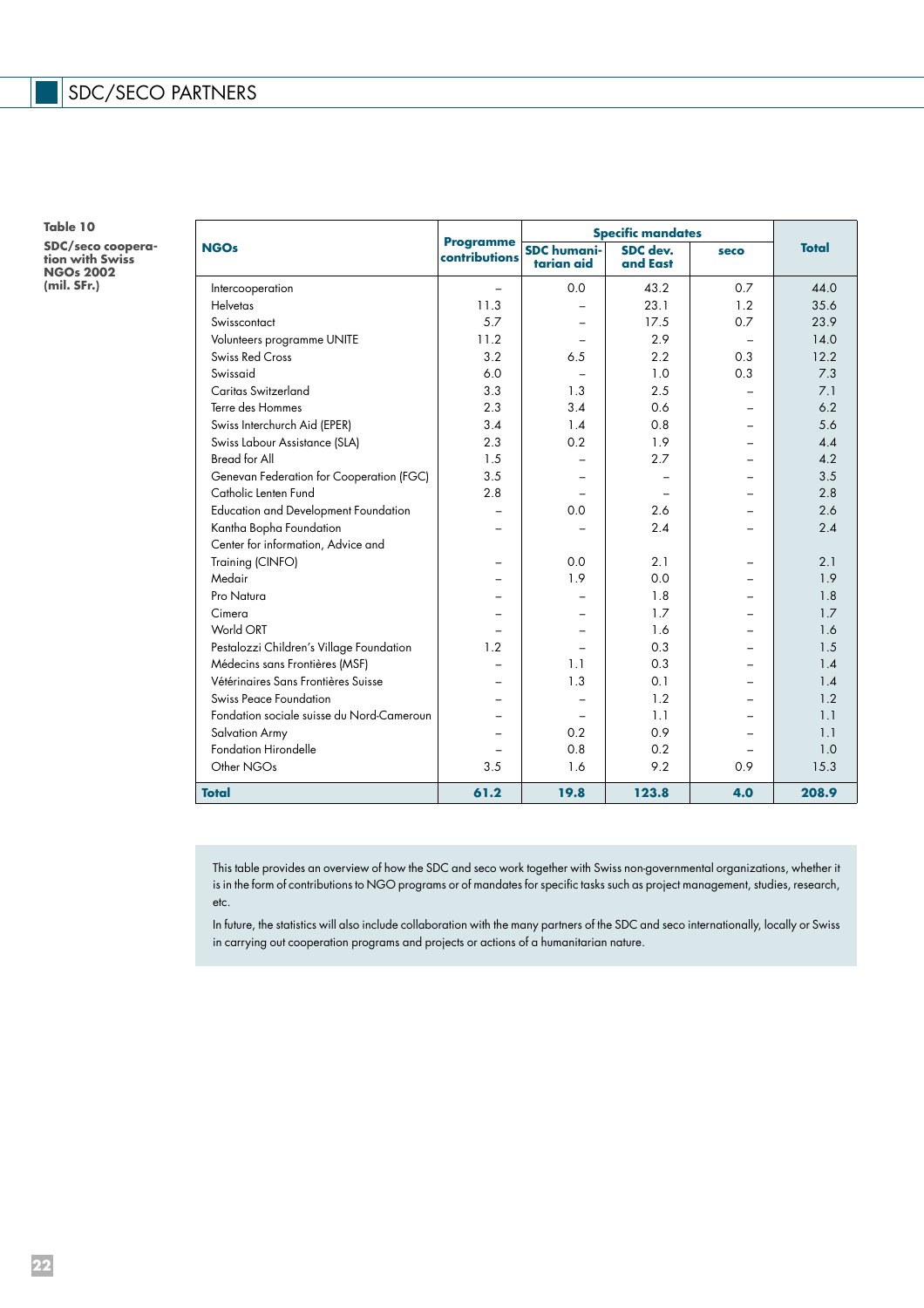**Table 10 SDC/seco cooperation with Swiss NGOs 2002 (mil. SFr.)**

|                                           | <b>Programme</b><br><b>contributions</b> | <b>Specific mandates</b>         |                      |      |              |
|-------------------------------------------|------------------------------------------|----------------------------------|----------------------|------|--------------|
| <b>NGOs</b>                               |                                          | <b>SDC humani-</b><br>tarian aid | SDC dev.<br>and East | seco | <b>Total</b> |
| Intercooperation                          |                                          | 0.0                              | 43.2                 | 0.7  | 44.0         |
| <b>Helvetas</b>                           | 11.3                                     |                                  | 23.1                 | 1.2  | 35.6         |
| Swisscontact                              | 5.7                                      |                                  | 17.5                 | 0.7  | 23.9         |
| Volunteers programme UNITE                | 11.2                                     |                                  | 2.9                  |      | 14.0         |
| Swiss Red Cross                           | 3.2                                      | 6.5                              | 2.2                  | 0.3  | 12.2         |
| Swissaid                                  | 6.0                                      |                                  | 1.0                  | 0.3  | 7.3          |
| Caritas Switzerland                       | 3.3                                      | 1.3                              | 2.5                  |      | 7.1          |
| Terre des Hommes                          | 2.3                                      | 3.4                              | 0.6                  |      | 6.2          |
| Swiss Interchurch Aid (EPER)              | 3.4                                      | 1.4                              | 0.8                  |      | 5.6          |
| Swiss Labour Assistance (SLA)             | 2.3                                      | 0.2                              | 1.9                  |      | 4.4          |
| <b>Bread for All</b>                      | 1.5                                      |                                  | 2.7                  |      | 4.2          |
| Genevan Federation for Cooperation (FGC)  | 3.5                                      |                                  |                      |      | 3.5          |
| Catholic Lenten Fund                      | 2.8                                      |                                  |                      |      | 2.8          |
| Education and Development Foundation      |                                          | 0.0                              | 2.6                  |      | 2.6          |
| Kantha Bopha Foundation                   |                                          |                                  | 2.4                  |      | 2.4          |
| Center for information, Advice and        |                                          |                                  |                      |      |              |
| Training (CINFO)                          |                                          | 0.0                              | 2.1                  |      | 2.1          |
| Medair                                    |                                          | 1.9                              | 0.0                  |      | 1.9          |
| Pro Natura                                | -                                        |                                  | 1.8                  |      | 1.8          |
| Cimera                                    |                                          |                                  | 1.7                  |      | 1.7          |
| World ORT                                 |                                          |                                  | 1.6                  |      | 1.6          |
| Pestalozzi Children's Village Foundation  | 1.2                                      |                                  | 0.3                  |      | 1.5          |
| Médecins sans Frontières (MSF)            |                                          | 1.1                              | 0.3                  |      | 1.4          |
| Vétéringires Sans Frontières Suisse       |                                          | 1.3                              | 0.1                  |      | 1.4          |
| Swiss Peace Foundation                    |                                          |                                  | 1.2                  |      | 1.2          |
| Fondation sociale suisse du Nord-Cameroun |                                          |                                  | 1.1                  |      | 1.1          |
| <b>Salvation Army</b>                     |                                          | 0.2                              | 0.9                  |      | 1.1          |
| <b>Fondation Hirondelle</b>               |                                          | 0.8                              | 0.2                  |      | 1.0          |
| Other NGOs                                | 3.5                                      | 1.6                              | 9.2                  | 0.9  | 15.3         |
| <b>Total</b>                              | 61.2                                     | 19.8                             | 123.8                | 4.0  | 208.9        |

This table provides an overview of how the SDC and seco work together with Swiss non-governmental organizations, whether it is in the form of contributions to NGO programs or of mandates for specific tasks such as project management, studies, research, etc.

In future, the statistics will also include collaboration with the many partners of the SDC and seco internationally, locally or Swiss in carrying out cooperation programs and projects or actions of a humanitarian nature.